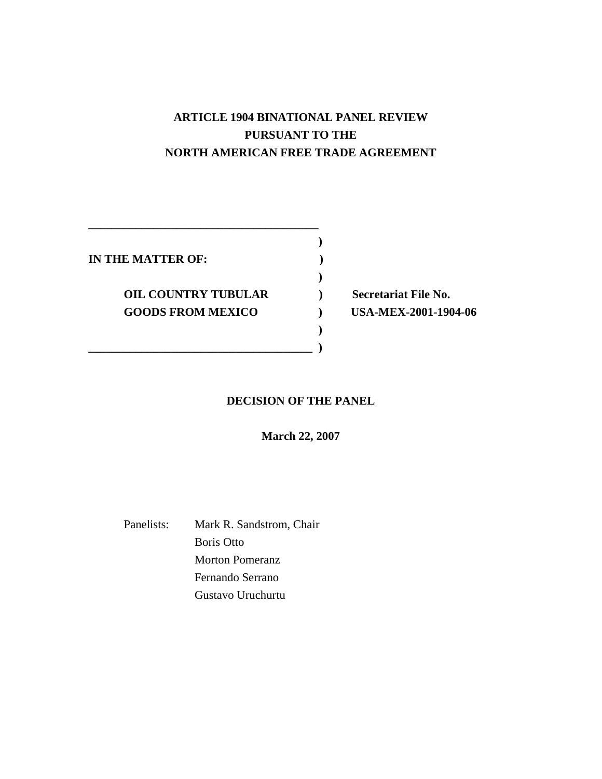# **ARTICLE 1904 BINATIONAL PANEL REVIEW PURSUANT TO THE NORTH AMERICAN FREE TRADE AGREEMENT**

**IN THE MATTER OF: )** 

**OIL COUNTRY TUBULAR** ) Secretariat File No. **GOODS FROM MEXICO ) USA-MEX-2001-1904-06** 

**\_\_\_\_\_\_\_\_\_\_\_\_\_\_\_\_\_\_\_\_\_\_\_\_\_\_\_\_\_\_\_\_\_\_\_\_\_\_\_ )** 

 **)** 

 **) \_\_\_\_\_\_\_\_\_\_\_\_\_\_\_\_\_\_\_\_\_\_\_\_\_\_\_\_\_\_\_\_\_\_\_\_\_\_ )** 

# **DECISION OF THE PANEL**

**March 22, 2007** 

Panelists: Mark R. Sandstrom, Chair Boris Otto Morton Pomeranz Fernando Serrano Gustavo Uruchurtu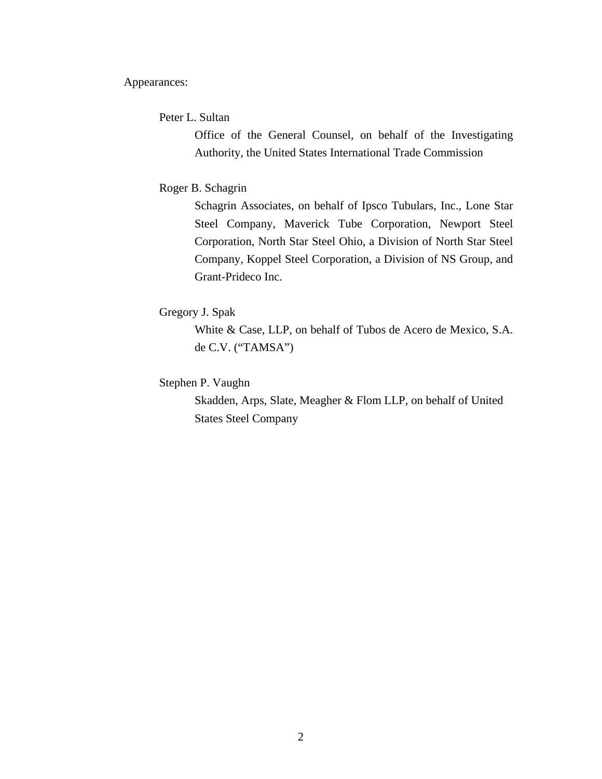Appearances:

Peter L. Sultan

Office of the General Counsel, on behalf of the Investigating Authority, the United States International Trade Commission

## Roger B. Schagrin

Schagrin Associates, on behalf of Ipsco Tubulars, Inc., Lone Star Steel Company, Maverick Tube Corporation, Newport Steel Corporation, North Star Steel Ohio, a Division of North Star Steel Company, Koppel Steel Corporation, a Division of NS Group, and Grant-Prideco Inc.

# Gregory J. Spak

White & Case, LLP, on behalf of Tubos de Acero de Mexico, S.A. de C.V. ("TAMSA")

Stephen P. Vaughn

 Skadden, Arps, Slate, Meagher & Flom LLP, on behalf of United States Steel Company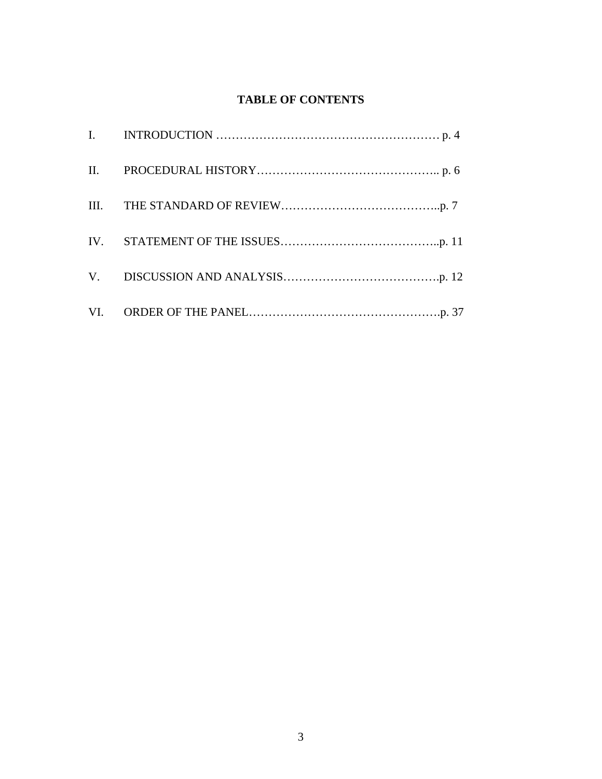# **TABLE OF CONTENTS**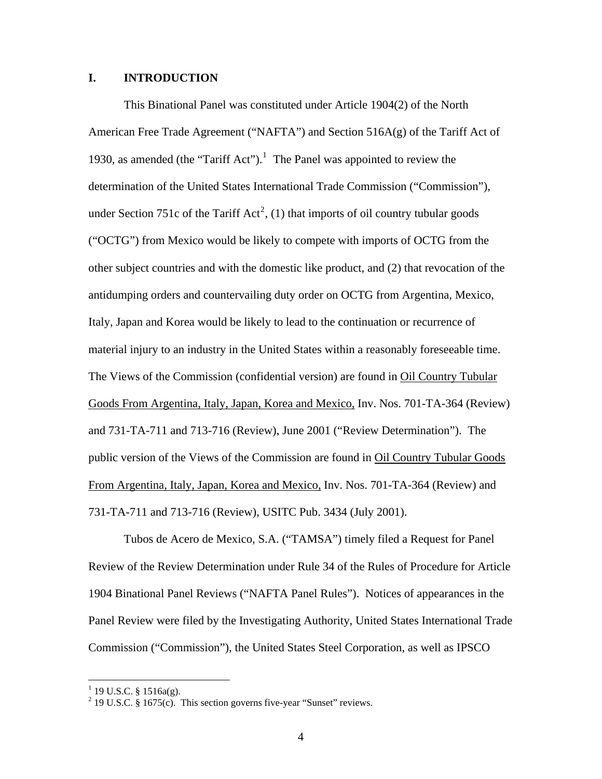### **I. INTRODUCTION**

 This Binational Panel was constituted under Article 1904(2) of the North American Free Trade Agreement ("NAFTA") and Section  $516A(g)$  of the Tariff Act of [1](#page-3-0)930, as amended (the "Tariff Act").<sup>1</sup> The Panel was appointed to review the determination of the United States International Trade Commission ("Commission"), under Section 751c of the Tariff Act<sup>[2](#page-3-1)</sup>, (1) that imports of oil country tubular goods ("OCTG") from Mexico would be likely to compete with imports of OCTG from the other subject countries and with the domestic like product, and (2) that revocation of the antidumping orders and countervailing duty order on OCTG from Argentina, Mexico, Italy, Japan and Korea would be likely to lead to the continuation or recurrence of material injury to an industry in the United States within a reasonably foreseeable time. The Views of the Commission (confidential version) are found in Oil Country Tubular Goods From Argentina, Italy, Japan, Korea and Mexico, Inv. Nos. 701-TA-364 (Review) and 731-TA-711 and 713-716 (Review), June 2001 ("Review Determination"). The public version of the Views of the Commission are found in Oil Country Tubular Goods From Argentina, Italy, Japan, Korea and Mexico, Inv. Nos. 701-TA-364 (Review) and 731-TA-711 and 713-716 (Review), USITC Pub. 3434 (July 2001).

 Tubos de Acero de Mexico, S.A. ("TAMSA") timely filed a Request for Panel Review of the Review Determination under Rule 34 of the Rules of Procedure for Article 1904 Binational Panel Reviews ("NAFTA Panel Rules"). Notices of appearances in the Panel Review were filed by the Investigating Authority, United States International Trade Commission ("Commission"), the United States Steel Corporation, as well as IPSCO

<span id="page-3-1"></span><span id="page-3-0"></span>

<sup>&</sup>lt;sup>1</sup> 19 U.S.C. § 1516a(g).<br><sup>2</sup> 19 U.S.C. § 1675(c). This section governs five-year "Sunset" reviews.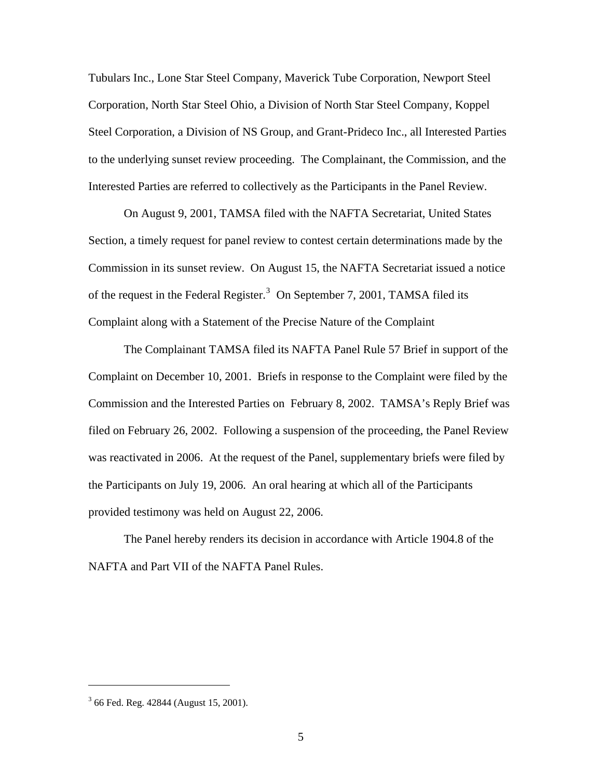Tubulars Inc., Lone Star Steel Company, Maverick Tube Corporation, Newport Steel Corporation, North Star Steel Ohio, a Division of North Star Steel Company, Koppel Steel Corporation, a Division of NS Group, and Grant-Prideco Inc., all Interested Parties to the underlying sunset review proceeding. The Complainant, the Commission, and the Interested Parties are referred to collectively as the Participants in the Panel Review.

On August 9, 2001, TAMSA filed with the NAFTA Secretariat, United States Section, a timely request for panel review to contest certain determinations made by the Commission in its sunset review. On August 15, the NAFTA Secretariat issued a notice of the request in the Federal Register.<sup>[3](#page-4-0)</sup> On September 7, 2001, TAMSA filed its Complaint along with a Statement of the Precise Nature of the Complaint

The Complainant TAMSA filed its NAFTA Panel Rule 57 Brief in support of the Complaint on December 10, 2001. Briefs in response to the Complaint were filed by the Commission and the Interested Parties on February 8, 2002. TAMSA's Reply Brief was filed on February 26, 2002. Following a suspension of the proceeding, the Panel Review was reactivated in 2006. At the request of the Panel, supplementary briefs were filed by the Participants on July 19, 2006. An oral hearing at which all of the Participants provided testimony was held on August 22, 2006.

The Panel hereby renders its decision in accordance with Article 1904.8 of the NAFTA and Part VII of the NAFTA Panel Rules.

<span id="page-4-0"></span><sup>&</sup>lt;sup>3</sup> 66 Fed. Reg. 42844 (August 15, 2001).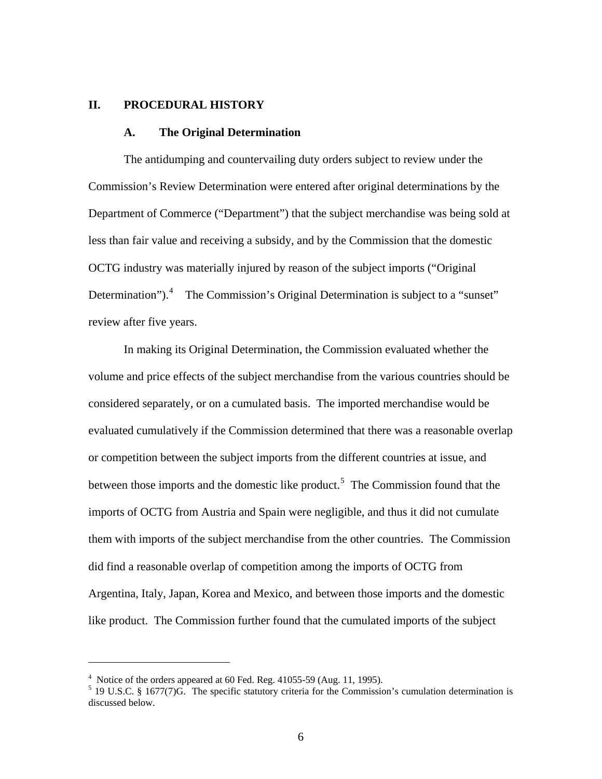## **II. PROCEDURAL HISTORY**

#### **A. The Original Determination**

The antidumping and countervailing duty orders subject to review under the Commission's Review Determination were entered after original determinations by the Department of Commerce ("Department") that the subject merchandise was being sold at less than fair value and receiving a subsidy, and by the Commission that the domestic OCTG industry was materially injured by reason of the subject imports ("Original Determination").<sup>[4](#page-5-0)</sup> The Commission's Original Determination is subject to a "sunset" review after five years.

 In making its Original Determination, the Commission evaluated whether the volume and price effects of the subject merchandise from the various countries should be considered separately, or on a cumulated basis. The imported merchandise would be evaluated cumulatively if the Commission determined that there was a reasonable overlap or competition between the subject imports from the different countries at issue, and between those imports and the domestic like product.<sup>[5](#page-5-1)</sup> The Commission found that the imports of OCTG from Austria and Spain were negligible, and thus it did not cumulate them with imports of the subject merchandise from the other countries. The Commission did find a reasonable overlap of competition among the imports of OCTG from Argentina, Italy, Japan, Korea and Mexico, and between those imports and the domestic like product. The Commission further found that the cumulated imports of the subject

<span id="page-5-0"></span> $4$  Notice of the orders appeared at 60 Fed. Reg. 41055-59 (Aug. 11, 1995).

<span id="page-5-1"></span> $<sup>5</sup>$  19 U.S.C. § 1677(7)G. The specific statutory criteria for the Commission's cumulation determination is</sup> discussed below.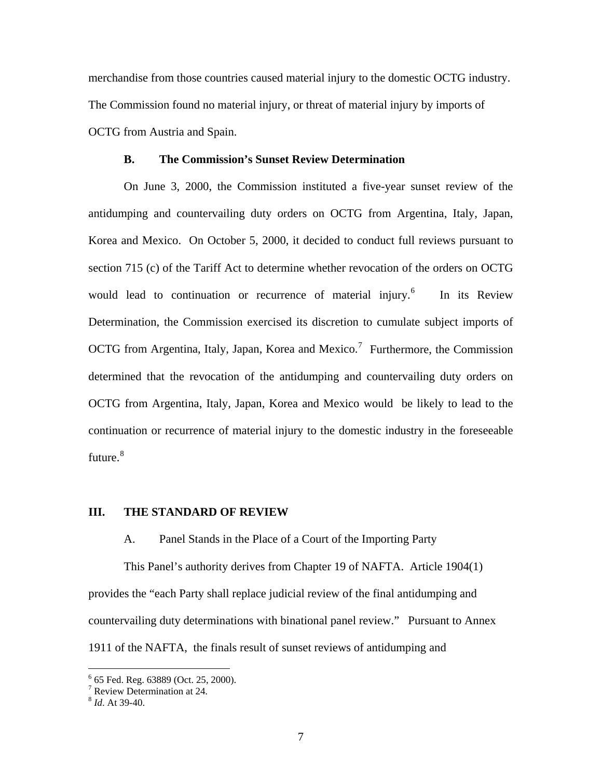merchandise from those countries caused material injury to the domestic OCTG industry. The Commission found no material injury, or threat of material injury by imports of OCTG from Austria and Spain.

#### **B. The Commission's Sunset Review Determination**

On June 3, 2000, the Commission instituted a five-year sunset review of the antidumping and countervailing duty orders on OCTG from Argentina, Italy, Japan, Korea and Mexico. On October 5, 2000, it decided to conduct full reviews pursuant to section 715 (c) of the Tariff Act to determine whether revocation of the orders on OCTG would lead to continuation or recurrence of material injury.<sup>[6](#page-6-0)</sup> In its Review Determination, the Commission exercised its discretion to cumulate subject imports of OCTG from Argentina, Italy, Japan, Korea and Mexico.<sup>[7](#page-6-1)</sup> Furthermore, the Commission determined that the revocation of the antidumping and countervailing duty orders on OCTG from Argentina, Italy, Japan, Korea and Mexico would be likely to lead to the continuation or recurrence of material injury to the domestic industry in the foreseeable future. $^8$  $^8$ 

#### **III. THE STANDARD OF REVIEW**

A. Panel Stands in the Place of a Court of the Importing Party

 This Panel's authority derives from Chapter 19 of NAFTA. Article 1904(1) provides the "each Party shall replace judicial review of the final antidumping and countervailing duty determinations with binational panel review." Pursuant to Annex 1911 of the NAFTA, the finals result of sunset reviews of antidumping and

<span id="page-6-0"></span> 6 65 Fed. Reg. 63889 (Oct. 25, 2000).

<sup>7</sup> Review Determination at 24.

<span id="page-6-2"></span><span id="page-6-1"></span><sup>8</sup> *Id*. At 39-40.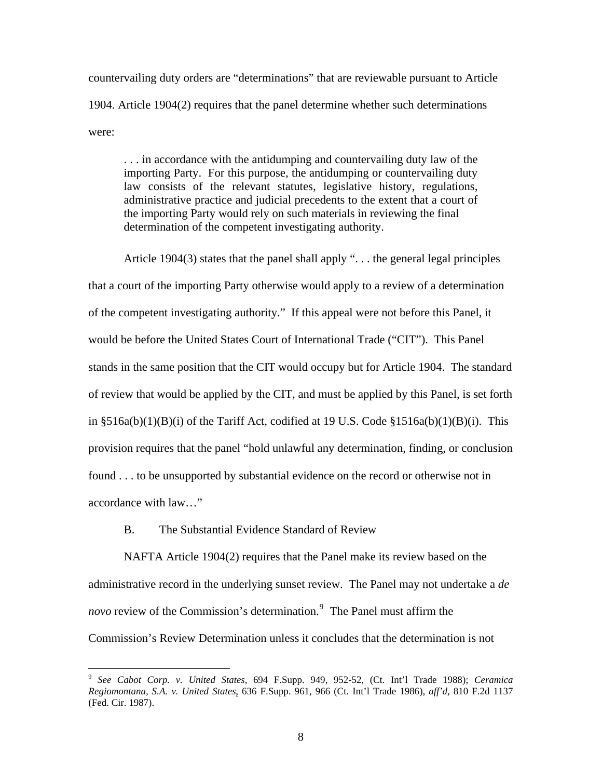countervailing duty orders are "determinations" that are reviewable pursuant to Article 1904. Article 1904(2) requires that the panel determine whether such determinations were:

. . . in accordance with the antidumping and countervailing duty law of the importing Party. For this purpose, the antidumping or countervailing duty law consists of the relevant statutes, legislative history, regulations, administrative practice and judicial precedents to the extent that a court of the importing Party would rely on such materials in reviewing the final determination of the competent investigating authority.

 Article 1904(3) states that the panel shall apply ". . . the general legal principles that a court of the importing Party otherwise would apply to a review of a determination of the competent investigating authority." If this appeal were not before this Panel, it would be before the United States Court of International Trade ("CIT"). This Panel stands in the same position that the CIT would occupy but for Article 1904. The standard of review that would be applied by the CIT, and must be applied by this Panel, is set forth in  $\S516a(b)(1)(B)(i)$  of the Tariff Act, codified at 19 U.S. Code  $\S1516a(b)(1)(B)(i)$ . This provision requires that the panel "hold unlawful any determination, finding, or conclusion found . . . to be unsupported by substantial evidence on the record or otherwise not in accordance with law…"

B. The Substantial Evidence Standard of Review

 $\overline{a}$ 

 NAFTA Article 1904(2) requires that the Panel make its review based on the administrative record in the underlying sunset review. The Panel may not undertake a *de novo* review of the Commission's determination.<sup>[9](#page-7-0)</sup> The Panel must affirm the Commission's Review Determination unless it concludes that the determination is not

<span id="page-7-0"></span><sup>9</sup> *See Cabot Corp. v. United States*, 694 F.Supp. 949, 952-52, (Ct. Int'l Trade 1988); *Ceramica Regiomontana, S.A. v. United States*, 636 F.Supp. 961, 966 (Ct. Int'l Trade 1986), *aff'd*, 810 F.2d 1137 (Fed. Cir. 1987).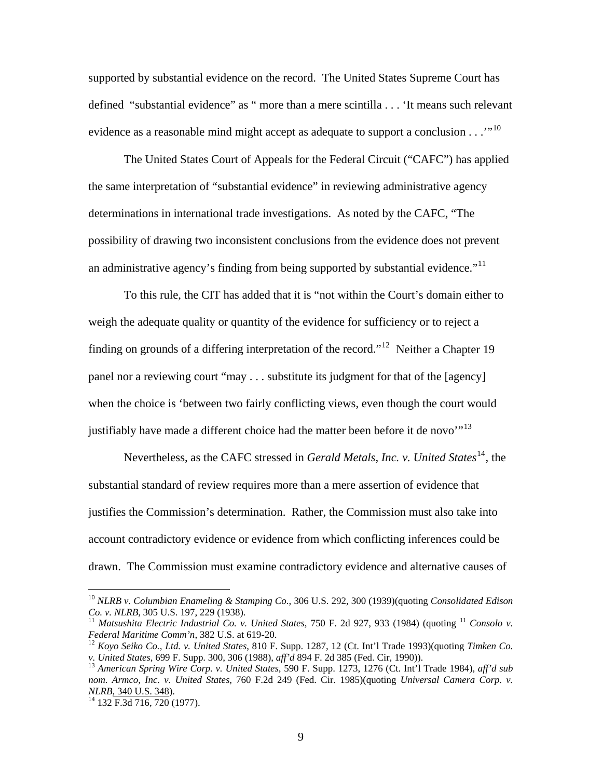supported by substantial evidence on the record. The United States Supreme Court has defined "substantial evidence" as " more than a mere scintilla . . . 'It means such relevant evidence as a reasonable mind might accept as adequate to support a conclusion  $\ldots$ <sup>[10](#page-8-0)</sup>

 The United States Court of Appeals for the Federal Circuit ("CAFC") has applied the same interpretation of "substantial evidence" in reviewing administrative agency determinations in international trade investigations. As noted by the CAFC, "The possibility of drawing two inconsistent conclusions from the evidence does not prevent an administrative agency's finding from being supported by substantial evidence.<sup> $11$ </sup>

 To this rule, the CIT has added that it is "not within the Court's domain either to weigh the adequate quality or quantity of the evidence for sufficiency or to reject a finding on grounds of a differing interpretation of the record."[12](#page-8-2) Neither a Chapter 19 panel nor a reviewing court "may . . . substitute its judgment for that of the [agency] when the choice is 'between two fairly conflicting views, even though the court would justifiably have made a different choice had the matter been before it de novo"<sup>[13](#page-8-3)</sup>

Nevertheless, as the CAFC stressed in *Gerald Metals, Inc. v. United States*<sup>[14](#page-8-4)</sup>, the substantial standard of review requires more than a mere assertion of evidence that justifies the Commission's determination. Rather, the Commission must also take into account contradictory evidence or evidence from which conflicting inferences could be drawn. The Commission must examine contradictory evidence and alternative causes of

1

<span id="page-8-0"></span><sup>10</sup> *NLRB v. Columbian Enameling & Stamping Co*., 306 U.S. 292, 300 (1939)(quoting *Consolidated Edison* 

<span id="page-8-1"></span><sup>&</sup>lt;sup>11</sup> Matsushita Electric Industrial Co. v. United States, 750 F. 2d 927, 933 (1984) (quoting <sup>11</sup> *Consolo v. Federal Maritime Comm'n,* 382 U.S. at 619-20.

<span id="page-8-2"></span><sup>&</sup>lt;sup>12</sup> Koyo Seiko Co., Ltd. v. United States, 810 F. Supp. 1287, 12 (Ct. Int'l Trade 1993)(quoting *Timken Co. v. United States, 699 F. Supp. 300, 306 (1988), aff'd 894 F. 2d 385 (Fed. Cir, 1990)).* 

<span id="page-8-3"></span><sup>&</sup>lt;sup>13</sup> American Spring Wire Corp. v. United States, 590 F. Supp. 1273, 1276 (Ct. Int'l Trade 1984), *aff'd sub nom. Armco, Inc. v. United States*, 760 F.2d 249 (Fed. Cir. 1985)(quoting *Universal Camera Corp. v.* 

<span id="page-8-4"></span><sup>&</sup>lt;sup>14</sup> 132 F.3d 716, 720 (1977).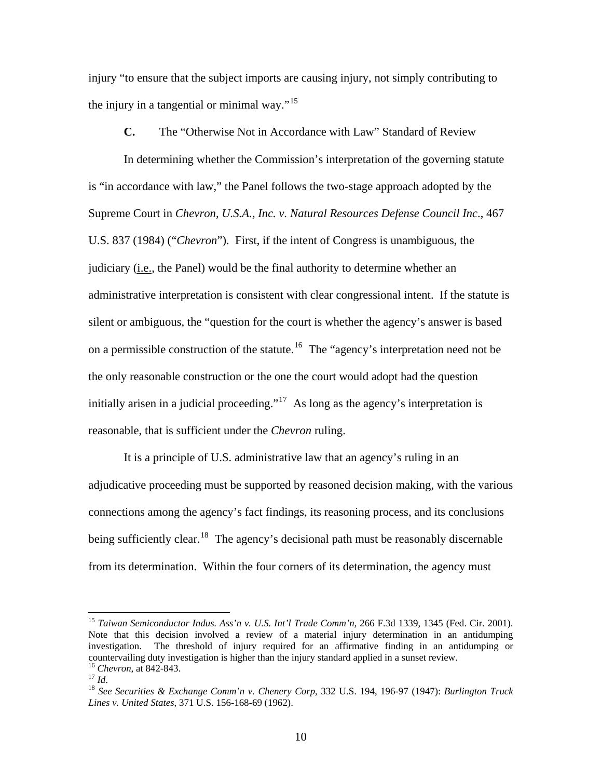injury "to ensure that the subject imports are causing injury, not simply contributing to the injury in a tangential or minimal way."<sup>[15](#page-9-0)</sup>

**C.** The "Otherwise Not in Accordance with Law" Standard of Review

In determining whether the Commission's interpretation of the governing statute is "in accordance with law," the Panel follows the two-stage approach adopted by the Supreme Court in *Chevron, U.S.A., Inc. v. Natural Resources Defense Council Inc*., 467 U.S. 837 (1984) ("*Chevron*"). First, if the intent of Congress is unambiguous, the judiciary (i.e., the Panel) would be the final authority to determine whether an administrative interpretation is consistent with clear congressional intent. If the statute is silent or ambiguous, the "question for the court is whether the agency's answer is based on a permissible construction of the statute.<sup>[16](#page-9-1)</sup> The "agency's interpretation need not be the only reasonable construction or the one the court would adopt had the question initially arisen in a judicial proceeding."<sup>[17](#page-9-2)</sup> As long as the agency's interpretation is reasonable, that is sufficient under the *Chevron* ruling.

It is a principle of U.S. administrative law that an agency's ruling in an adjudicative proceeding must be supported by reasoned decision making, with the various connections among the agency's fact findings, its reasoning process, and its conclusions being sufficiently clear.<sup>[18](#page-9-3)</sup> The agency's decisional path must be reasonably discernable from its determination. Within the four corners of its determination, the agency must

<span id="page-9-0"></span><sup>15</sup> *Taiwan Semiconductor Indus. Ass'n v. U.S. Int'l Trade Comm'n*, 266 F.3d 1339, 1345 (Fed. Cir. 2001). Note that this decision involved a review of a material injury determination in an antidumping investigation. The threshold of injury required for an affirmative finding in an antidumping or countervailing duty investigation is higher than the injury standard applied in a sunset review.<br><sup>16</sup> Chevron. at 842-843.

<span id="page-9-3"></span><span id="page-9-2"></span><span id="page-9-1"></span><sup>16</sup> *Chevron*, at 842-843. 17 *Id*. 18 *See Securities & Exchange Comm'n v. Chenery Corp*, 332 U.S. 194, 196-97 (1947): *Burlington Truck Lines v. United States*, 371 U.S. 156-168-69 (1962).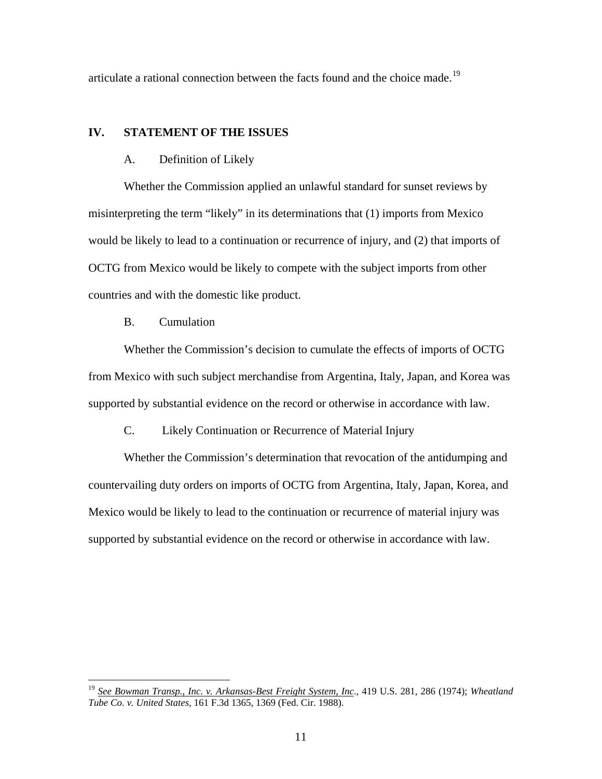articulate a rational connection between the facts found and the choice made.<sup>[19](#page-10-0)</sup>

## **IV. STATEMENT OF THE ISSUES**

#### A. Definition of Likely

Whether the Commission applied an unlawful standard for sunset reviews by misinterpreting the term "likely" in its determinations that (1) imports from Mexico would be likely to lead to a continuation or recurrence of injury, and (2) that imports of OCTG from Mexico would be likely to compete with the subject imports from other countries and with the domestic like product.

## B. Cumulation

 $\overline{a}$ 

Whether the Commission's decision to cumulate the effects of imports of OCTG from Mexico with such subject merchandise from Argentina, Italy, Japan, and Korea was supported by substantial evidence on the record or otherwise in accordance with law.

C. Likely Continuation or Recurrence of Material Injury

Whether the Commission's determination that revocation of the antidumping and countervailing duty orders on imports of OCTG from Argentina, Italy, Japan, Korea, and Mexico would be likely to lead to the continuation or recurrence of material injury was supported by substantial evidence on the record or otherwise in accordance with law.

<span id="page-10-0"></span><sup>19</sup> *See Bowman Transp., Inc. v. Arkansas-Best Freight System, Inc*., 419 U.S. 281, 286 (1974); *Wheatland Tube Co. v. United States,* 161 F.3d 1365, 1369 (Fed. Cir. 1988).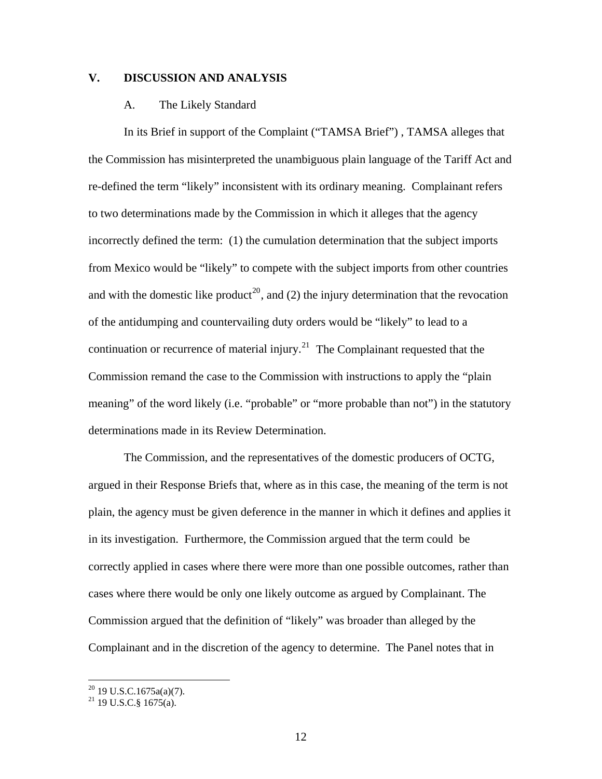## **V. DISCUSSION AND ANALYSIS**

#### A. The Likely Standard

In its Brief in support of the Complaint ("TAMSA Brief") , TAMSA alleges that the Commission has misinterpreted the unambiguous plain language of the Tariff Act and re-defined the term "likely" inconsistent with its ordinary meaning. Complainant refers to two determinations made by the Commission in which it alleges that the agency incorrectly defined the term: (1) the cumulation determination that the subject imports from Mexico would be "likely" to compete with the subject imports from other countries and with the domestic like product<sup>[20](#page-11-0)</sup>, and (2) the injury determination that the revocation of the antidumping and countervailing duty orders would be "likely" to lead to a continuation or recurrence of material injury.<sup>[21](#page-11-1)</sup> The Complainant requested that the Commission remand the case to the Commission with instructions to apply the "plain meaning" of the word likely (i.e. "probable" or "more probable than not") in the statutory determinations made in its Review Determination.

The Commission, and the representatives of the domestic producers of OCTG, argued in their Response Briefs that, where as in this case, the meaning of the term is not plain, the agency must be given deference in the manner in which it defines and applies it in its investigation. Furthermore, the Commission argued that the term could be correctly applied in cases where there were more than one possible outcomes, rather than cases where there would be only one likely outcome as argued by Complainant. The Commission argued that the definition of "likely" was broader than alleged by the Complainant and in the discretion of the agency to determine. The Panel notes that in

<span id="page-11-0"></span> $20$  19 U.S.C.1675a(a)(7).

<span id="page-11-1"></span> $^{21}$  19 U.S.C.§ 1675(a).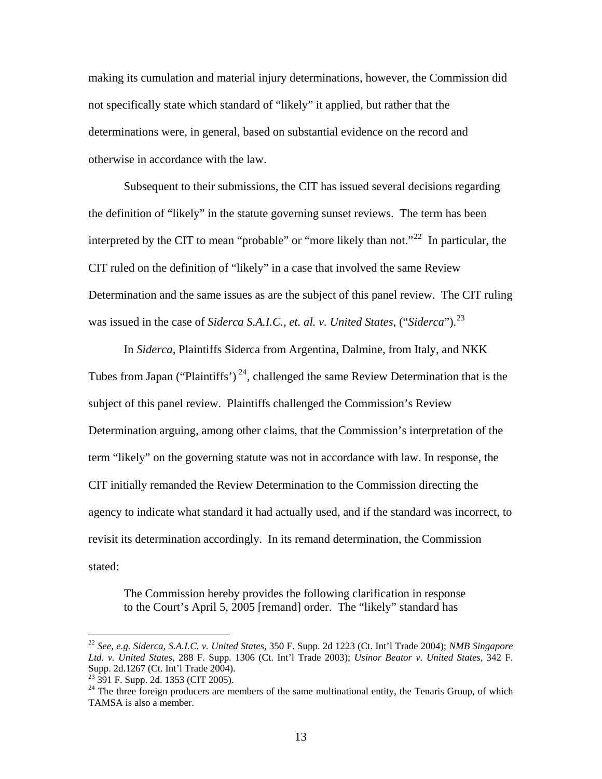making its cumulation and material injury determinations, however, the Commission did not specifically state which standard of "likely" it applied, but rather that the determinations were, in general, based on substantial evidence on the record and otherwise in accordance with the law.

Subsequent to their submissions, the CIT has issued several decisions regarding the definition of "likely" in the statute governing sunset reviews. The term has been interpreted by the CIT to mean "probable" or "more likely than not."<sup>[22](#page-12-0)</sup> In particular, the CIT ruled on the definition of "likely" in a case that involved the same Review Determination and the same issues as are the subject of this panel review. The CIT ruling was issued in the case of *Siderca S.A.I.C., et. al. v. United States*, ("*Siderca*").[23](#page-12-1)

 In *Siderca*, Plaintiffs Siderca from Argentina, Dalmine, from Italy, and NKK Tubes from Japan ("Plaintiffs")<sup>[24](#page-12-2)</sup>, challenged the same Review Determination that is the subject of this panel review. Plaintiffs challenged the Commission's Review Determination arguing, among other claims, that the Commission's interpretation of the term "likely" on the governing statute was not in accordance with law. In response, the CIT initially remanded the Review Determination to the Commission directing the agency to indicate what standard it had actually used, and if the standard was incorrect, to revisit its determination accordingly. In its remand determination, the Commission stated:

The Commission hereby provides the following clarification in response to the Court's April 5, 2005 [remand] order. The "likely" standard has

<span id="page-12-0"></span><sup>22</sup> *See, e.g. Siderca, S.A.I.C. v. United States*, 350 F. Supp. 2d 1223 (Ct. Int'l Trade 2004); *NMB Singapore Ltd. v. United States,* 288 F. Supp. 1306 (Ct. Int'l Trade 2003); *Usinor Beator v. United States*, 342 F. Supp. 2d.1267 (Ct. Int'l Trade 2004).

<span id="page-12-1"></span><sup>&</sup>lt;sup>23</sup> 391 F. Supp. 2d. 1353 (CIT 2005).

<span id="page-12-2"></span><sup>&</sup>lt;sup>24</sup> The three foreign producers are members of the same multinational entity, the Tenaris Group, of which TAMSA is also a member.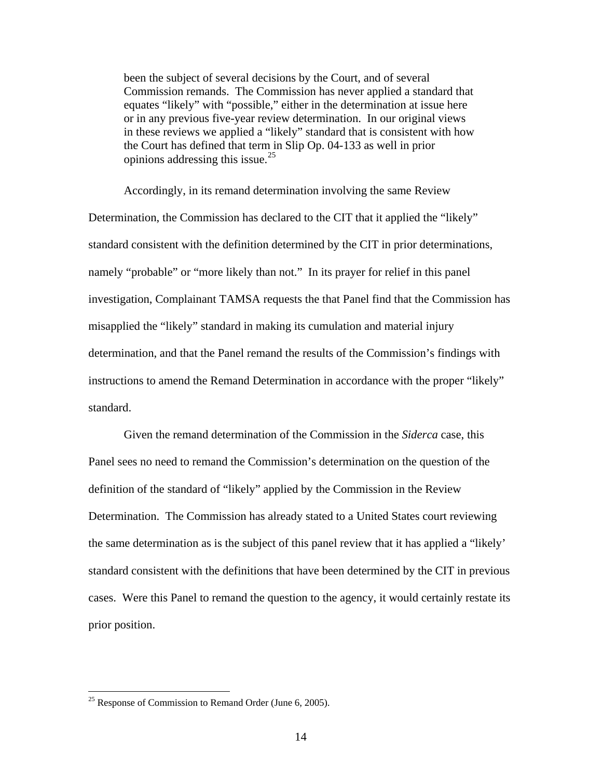been the subject of several decisions by the Court, and of several Commission remands. The Commission has never applied a standard that equates "likely" with "possible," either in the determination at issue here or in any previous five-year review determination. In our original views in these reviews we applied a "likely" standard that is consistent with how the Court has defined that term in Slip Op. 04-133 as well in prior opinions addressing this issue.<sup>[25](#page-13-0)</sup>

 Accordingly, in its remand determination involving the same Review Determination, the Commission has declared to the CIT that it applied the "likely" standard consistent with the definition determined by the CIT in prior determinations, namely "probable" or "more likely than not." In its prayer for relief in this panel investigation, Complainant TAMSA requests the that Panel find that the Commission has misapplied the "likely" standard in making its cumulation and material injury determination, and that the Panel remand the results of the Commission's findings with instructions to amend the Remand Determination in accordance with the proper "likely" standard.

Given the remand determination of the Commission in the *Siderca* case, this Panel sees no need to remand the Commission's determination on the question of the definition of the standard of "likely" applied by the Commission in the Review Determination. The Commission has already stated to a United States court reviewing the same determination as is the subject of this panel review that it has applied a "likely' standard consistent with the definitions that have been determined by the CIT in previous cases. Were this Panel to remand the question to the agency, it would certainly restate its prior position.

<span id="page-13-0"></span><sup>&</sup>lt;sup>25</sup> Response of Commission to Remand Order (June 6, 2005).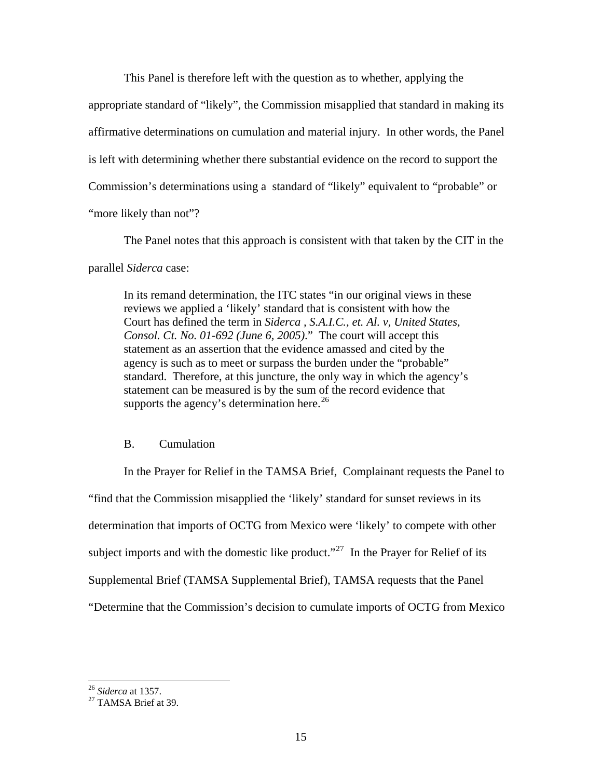This Panel is therefore left with the question as to whether, applying the

appropriate standard of "likely", the Commission misapplied that standard in making its affirmative determinations on cumulation and material injury. In other words, the Panel is left with determining whether there substantial evidence on the record to support the Commission's determinations using a standard of "likely" equivalent to "probable" or "more likely than not"?

 The Panel notes that this approach is consistent with that taken by the CIT in the parallel *Siderca* case:

In its remand determination, the ITC states "in our original views in these reviews we applied a 'likely' standard that is consistent with how the Court has defined the term in *Siderca , S.A.I.C., et. Al. v, United States, Consol. Ct. No. 01-692 (June 6, 2005)*." The court will accept this statement as an assertion that the evidence amassed and cited by the agency is such as to meet or surpass the burden under the "probable" standard. Therefore, at this juncture, the only way in which the agency's statement can be measured is by the sum of the record evidence that supports the agency's determination here.<sup>[26](#page-14-0)</sup>

# B. Cumulation

 In the Prayer for Relief in the TAMSA Brief, Complainant requests the Panel to "find that the Commission misapplied the 'likely' standard for sunset reviews in its determination that imports of OCTG from Mexico were 'likely' to compete with other subject imports and with the domestic like product."<sup>[27](#page-14-1)</sup> In the Prayer for Relief of its Supplemental Brief (TAMSA Supplemental Brief), TAMSA requests that the Panel "Determine that the Commission's decision to cumulate imports of OCTG from Mexico

<span id="page-14-0"></span> $26$  Siderca at 1357.

<span id="page-14-1"></span><sup>&</sup>lt;sup>27</sup> TAMSA Brief at 39.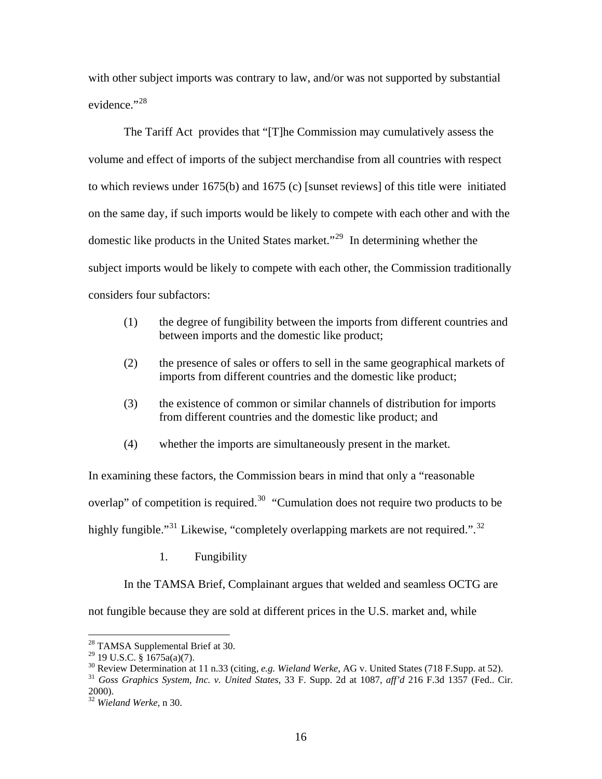with other subject imports was contrary to law, and/or was not supported by substantial evidence."<sup>[28](#page-15-0)</sup>

 The Tariff Act provides that "[T]he Commission may cumulatively assess the volume and effect of imports of the subject merchandise from all countries with respect to which reviews under 1675(b) and 1675 (c) [sunset reviews] of this title were initiated on the same day, if such imports would be likely to compete with each other and with the domestic like products in the United States market."[29](#page-15-1) In determining whether the subject imports would be likely to compete with each other, the Commission traditionally considers four subfactors:

- (1) the degree of fungibility between the imports from different countries and between imports and the domestic like product;
- (2) the presence of sales or offers to sell in the same geographical markets of imports from different countries and the domestic like product;
- (3) the existence of common or similar channels of distribution for imports from different countries and the domestic like product; and
- (4) whether the imports are simultaneously present in the market.

In examining these factors, the Commission bears in mind that only a "reasonable overlap" of competition is required.<sup>[30](#page-15-2)</sup> "Cumulation does not require two products to be highly fungible."<sup>[31](#page-15-3)</sup> Likewise, "completely overlapping markets are not required.".<sup>[32](#page-15-4)</sup>

1. Fungibility

In the TAMSA Brief, Complainant argues that welded and seamless OCTG are not fungible because they are sold at different prices in the U.S. market and, while

 $\overline{a}$ 

<span id="page-15-3"></span><span id="page-15-2"></span><sup>31</sup> Goss Graphics System, Inc. v. United States, 33 F. Supp. 2d at 1087, aff'd 216 F.3d 1357 (Fed., Cir. 2000).

<span id="page-15-0"></span><sup>&</sup>lt;sup>28</sup> TAMSA Supplemental Brief at 30.

<span id="page-15-1"></span><sup>&</sup>lt;sup>29</sup> 19 U.S.C. § 1675a(a)(7).<br><sup>30</sup> Review Determination at 11 n.33 (citing, *e.g. Wieland Werke*, AG v. United States (718 F.Supp. at 52).

<span id="page-15-4"></span><sup>32</sup> *Wieland Werke*, n 30.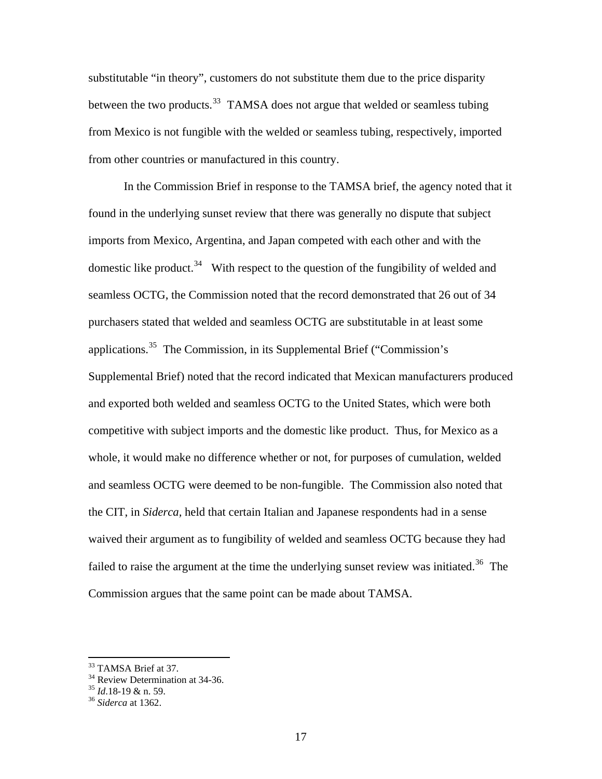substitutable "in theory", customers do not substitute them due to the price disparity between the two products.<sup>[33](#page-16-0)</sup> TAMSA does not argue that welded or seamless tubing from Mexico is not fungible with the welded or seamless tubing, respectively, imported from other countries or manufactured in this country.

 In the Commission Brief in response to the TAMSA brief, the agency noted that it found in the underlying sunset review that there was generally no dispute that subject imports from Mexico, Argentina, and Japan competed with each other and with the domestic like product.<sup>[34](#page-16-1)</sup> With respect to the question of the fungibility of welded and seamless OCTG, the Commission noted that the record demonstrated that 26 out of 34 purchasers stated that welded and seamless OCTG are substitutable in at least some applications.[35](#page-16-2) The Commission, in its Supplemental Brief ("Commission's Supplemental Brief) noted that the record indicated that Mexican manufacturers produced and exported both welded and seamless OCTG to the United States, which were both competitive with subject imports and the domestic like product. Thus, for Mexico as a whole, it would make no difference whether or not, for purposes of cumulation, welded and seamless OCTG were deemed to be non-fungible. The Commission also noted that the CIT, in *Siderca,* held that certain Italian and Japanese respondents had in a sense waived their argument as to fungibility of welded and seamless OCTG because they had failed to raise the argument at the time the underlying sunset review was initiated.<sup>[36](#page-16-3)</sup> The Commission argues that the same point can be made about TAMSA.

1

<sup>&</sup>lt;sup>33</sup> TAMSA Brief at 37.

<span id="page-16-1"></span><span id="page-16-0"></span> $34$  Review Determination at 34-36.

<span id="page-16-3"></span><span id="page-16-2"></span><sup>35</sup> *Id*.18-19 & n. 59. 36 *Siderca* at 1362.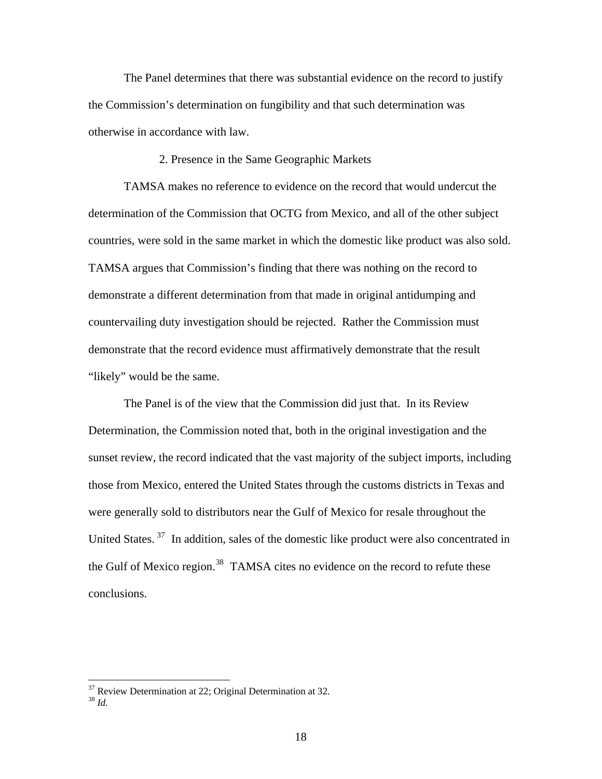The Panel determines that there was substantial evidence on the record to justify the Commission's determination on fungibility and that such determination was otherwise in accordance with law.

2. Presence in the Same Geographic Markets

 TAMSA makes no reference to evidence on the record that would undercut the determination of the Commission that OCTG from Mexico, and all of the other subject countries, were sold in the same market in which the domestic like product was also sold. TAMSA argues that Commission's finding that there was nothing on the record to demonstrate a different determination from that made in original antidumping and countervailing duty investigation should be rejected. Rather the Commission must demonstrate that the record evidence must affirmatively demonstrate that the result "likely" would be the same.

 The Panel is of the view that the Commission did just that. In its Review Determination, the Commission noted that, both in the original investigation and the sunset review, the record indicated that the vast majority of the subject imports, including those from Mexico, entered the United States through the customs districts in Texas and were generally sold to distributors near the Gulf of Mexico for resale throughout the United States.<sup>[37](#page-17-0)</sup> In addition, sales of the domestic like product were also concentrated in the Gulf of Mexico region.<sup>[38](#page-17-1)</sup> TAMSA cites no evidence on the record to refute these conclusions.

<span id="page-17-0"></span> $37$  Review Determination at 22; Original Determination at 32.

<span id="page-17-1"></span><sup>38</sup> *Id.*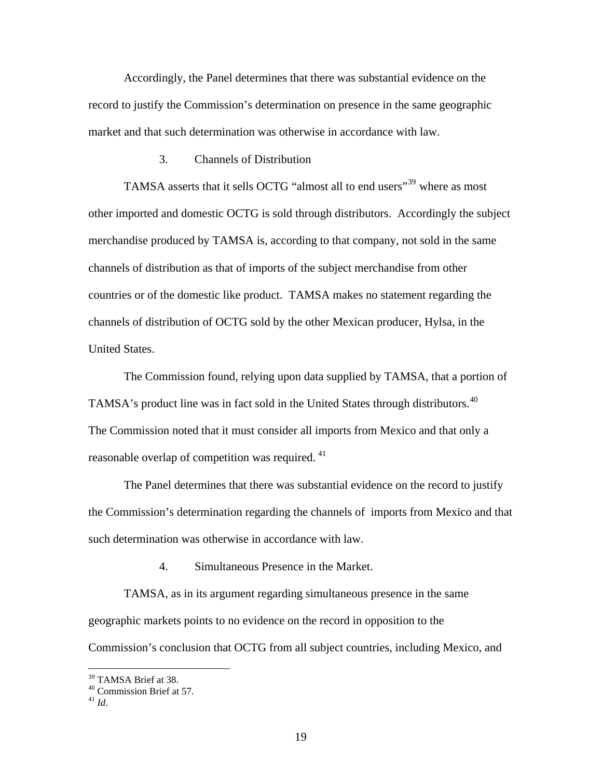Accordingly, the Panel determines that there was substantial evidence on the record to justify the Commission's determination on presence in the same geographic market and that such determination was otherwise in accordance with law.

3. Channels of Distribution

TAMSA asserts that it sells OCTG "almost all to end users"<sup>[39](#page-18-0)</sup> where as most other imported and domestic OCTG is sold through distributors. Accordingly the subject merchandise produced by TAMSA is, according to that company, not sold in the same channels of distribution as that of imports of the subject merchandise from other countries or of the domestic like product. TAMSA makes no statement regarding the channels of distribution of OCTG sold by the other Mexican producer, Hylsa, in the United States.

 The Commission found, relying upon data supplied by TAMSA, that a portion of TAMSA's product line was in fact sold in the United States through distributors.<sup>[40](#page-18-1)</sup> The Commission noted that it must consider all imports from Mexico and that only a reasonable overlap of competition was required. <sup>[41](#page-18-2)</sup>

The Panel determines that there was substantial evidence on the record to justify the Commission's determination regarding the channels of imports from Mexico and that such determination was otherwise in accordance with law.

4. Simultaneous Presence in the Market.

TAMSA, as in its argument regarding simultaneous presence in the same geographic markets points to no evidence on the record in opposition to the Commission's conclusion that OCTG from all subject countries, including Mexico, and

<span id="page-18-0"></span><sup>&</sup>lt;sup>39</sup> TAMSA Brief at 38.

<span id="page-18-1"></span><sup>40</sup> Commission Brief at 57.

<span id="page-18-2"></span> $^{41}$   $\overline{1}$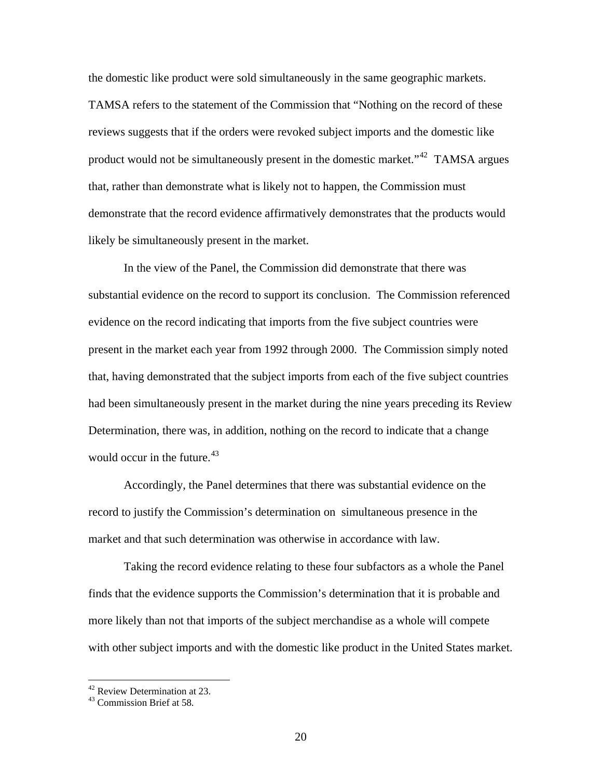the domestic like product were sold simultaneously in the same geographic markets. TAMSA refers to the statement of the Commission that "Nothing on the record of these reviews suggests that if the orders were revoked subject imports and the domestic like product would not be simultaneously present in the domestic market."[42](#page-19-0) TAMSA argues that, rather than demonstrate what is likely not to happen, the Commission must demonstrate that the record evidence affirmatively demonstrates that the products would likely be simultaneously present in the market.

 In the view of the Panel, the Commission did demonstrate that there was substantial evidence on the record to support its conclusion. The Commission referenced evidence on the record indicating that imports from the five subject countries were present in the market each year from 1992 through 2000. The Commission simply noted that, having demonstrated that the subject imports from each of the five subject countries had been simultaneously present in the market during the nine years preceding its Review Determination, there was, in addition, nothing on the record to indicate that a change would occur in the future. $43$ 

Accordingly, the Panel determines that there was substantial evidence on the record to justify the Commission's determination on simultaneous presence in the market and that such determination was otherwise in accordance with law.

Taking the record evidence relating to these four subfactors as a whole the Panel finds that the evidence supports the Commission's determination that it is probable and more likely than not that imports of the subject merchandise as a whole will compete with other subject imports and with the domestic like product in the United States market.

 $42$  Review Determination at 23.

<span id="page-19-1"></span><span id="page-19-0"></span><sup>43</sup> Commission Brief at 58.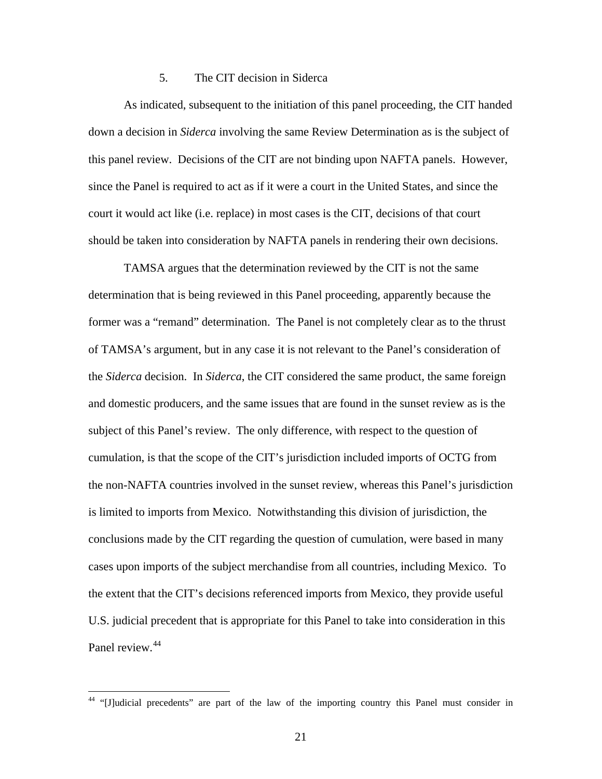# 5. The CIT decision in Siderca

As indicated, subsequent to the initiation of this panel proceeding, the CIT handed down a decision in *Siderca* involving the same Review Determination as is the subject of this panel review. Decisions of the CIT are not binding upon NAFTA panels. However, since the Panel is required to act as if it were a court in the United States, and since the court it would act like (i.e. replace) in most cases is the CIT, decisions of that court should be taken into consideration by NAFTA panels in rendering their own decisions.

 TAMSA argues that the determination reviewed by the CIT is not the same determination that is being reviewed in this Panel proceeding, apparently because the former was a "remand" determination. The Panel is not completely clear as to the thrust of TAMSA's argument, but in any case it is not relevant to the Panel's consideration of the *Siderca* decision. In *Siderca*, the CIT considered the same product, the same foreign and domestic producers, and the same issues that are found in the sunset review as is the subject of this Panel's review. The only difference, with respect to the question of cumulation, is that the scope of the CIT's jurisdiction included imports of OCTG from the non-NAFTA countries involved in the sunset review, whereas this Panel's jurisdiction is limited to imports from Mexico. Notwithstanding this division of jurisdiction, the conclusions made by the CIT regarding the question of cumulation, were based in many cases upon imports of the subject merchandise from all countries, including Mexico. To the extent that the CIT's decisions referenced imports from Mexico, they provide useful U.S. judicial precedent that is appropriate for this Panel to take into consideration in this Panel review.<sup>[44](#page-20-0)</sup>

<span id="page-20-0"></span><sup>&</sup>lt;sup>44</sup> "[J]udicial precedents" are part of the law of the importing country this Panel must consider in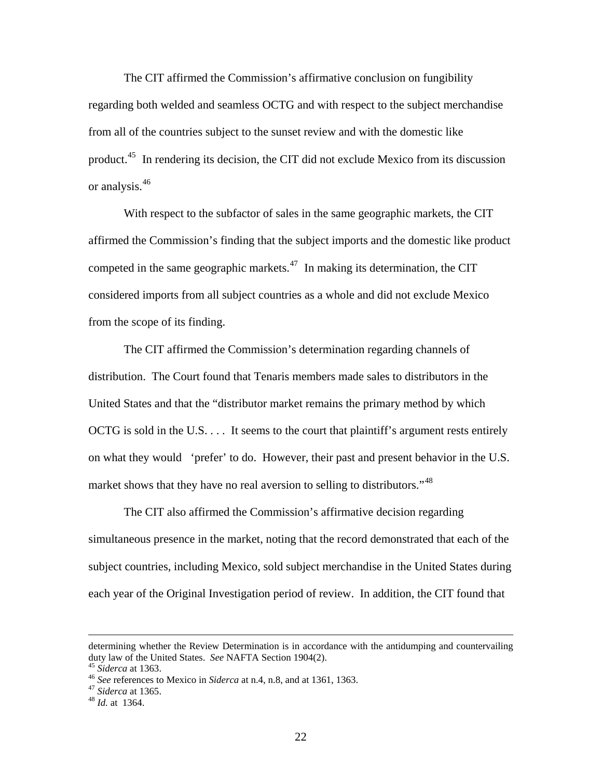The CIT affirmed the Commission's affirmative conclusion on fungibility regarding both welded and seamless OCTG and with respect to the subject merchandise from all of the countries subject to the sunset review and with the domestic like product.<sup>[45](#page-21-0)</sup> In rendering its decision, the CIT did not exclude Mexico from its discussion or analysis.<sup>[46](#page-21-1)</sup>

 With respect to the subfactor of sales in the same geographic markets, the CIT affirmed the Commission's finding that the subject imports and the domestic like product competed in the same geographic markets.<sup>[47](#page-21-2)</sup> In making its determination, the CIT considered imports from all subject countries as a whole and did not exclude Mexico from the scope of its finding.

 The CIT affirmed the Commission's determination regarding channels of distribution. The Court found that Tenaris members made sales to distributors in the United States and that the "distributor market remains the primary method by which OCTG is sold in the U.S. . . . It seems to the court that plaintiff's argument rests entirely on what they would 'prefer' to do. However, their past and present behavior in the U.S. market shows that they have no real aversion to selling to distributors."<sup>[48](#page-21-3)</sup>

The CIT also affirmed the Commission's affirmative decision regarding simultaneous presence in the market, noting that the record demonstrated that each of the subject countries, including Mexico, sold subject merchandise in the United States during each year of the Original Investigation period of review. In addition, the CIT found that

determining whether the Review Determination is in accordance with the antidumping and countervailing duty law of the United States. *See* NAFTA Section 1904(2).<br><sup>45</sup> Siderca at 1363.<br><sup>46</sup> See references to Mexico in Siderca at n.4, n.8, and at 1361, 1363.<br><sup>47</sup> Siderca at 1365.<br><sup>48</sup> Id. at 1364.

<span id="page-21-1"></span><span id="page-21-0"></span>

<span id="page-21-2"></span>

<span id="page-21-3"></span>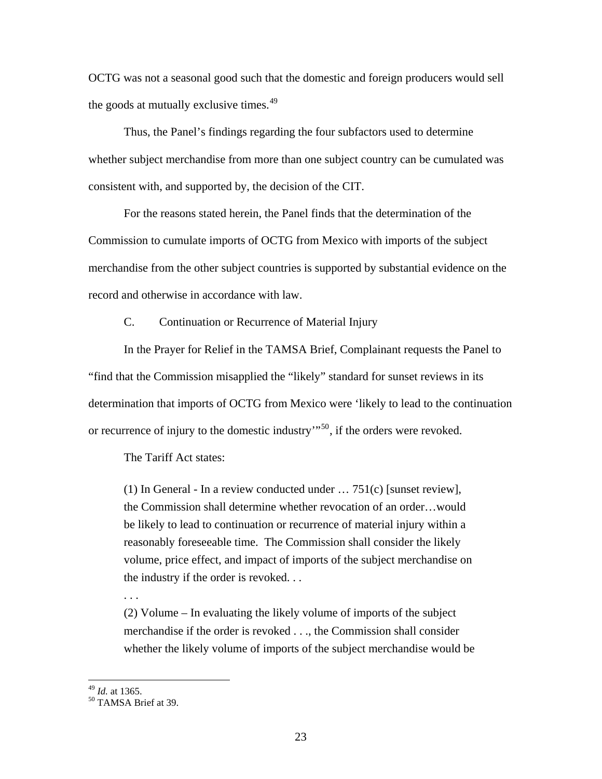OCTG was not a seasonal good such that the domestic and foreign producers would sell the goods at mutually exclusive times.<sup>[49](#page-22-0)</sup>

 Thus, the Panel's findings regarding the four subfactors used to determine whether subject merchandise from more than one subject country can be cumulated was consistent with, and supported by, the decision of the CIT.

 For the reasons stated herein, the Panel finds that the determination of the Commission to cumulate imports of OCTG from Mexico with imports of the subject merchandise from the other subject countries is supported by substantial evidence on the record and otherwise in accordance with law.

C. Continuation or Recurrence of Material Injury

 In the Prayer for Relief in the TAMSA Brief, Complainant requests the Panel to "find that the Commission misapplied the "likely" standard for sunset reviews in its determination that imports of OCTG from Mexico were 'likely to lead to the continuation or recurrence of injury to the domestic industry"<sup>[50](#page-22-1)</sup>, if the orders were revoked.

The Tariff Act states:

(1) In General - In a review conducted under … 751(c) [sunset review], the Commission shall determine whether revocation of an order…would be likely to lead to continuation or recurrence of material injury within a reasonably foreseeable time. The Commission shall consider the likely volume, price effect, and impact of imports of the subject merchandise on the industry if the order is revoked. . .

. . .

(2) Volume – In evaluating the likely volume of imports of the subject merchandise if the order is revoked . . ., the Commission shall consider whether the likely volume of imports of the subject merchandise would be

<span id="page-22-1"></span><span id="page-22-0"></span><sup>&</sup>lt;sup>49</sup> *Id.* at 1365.<br><sup>50</sup> TAMSA Brief at 39.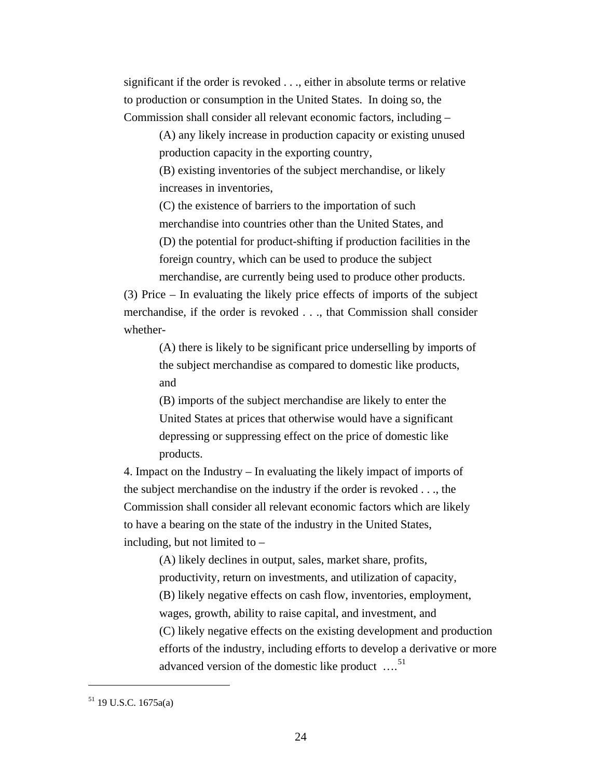significant if the order is revoked . . ., either in absolute terms or relative to production or consumption in the United States. In doing so, the Commission shall consider all relevant economic factors, including –

> (A) any likely increase in production capacity or existing unused production capacity in the exporting country,

(B) existing inventories of the subject merchandise, or likely increases in inventories,

(C) the existence of barriers to the importation of such merchandise into countries other than the United States, and (D) the potential for product-shifting if production facilities in the foreign country, which can be used to produce the subject merchandise, are currently being used to produce other products.

(3) Price – In evaluating the likely price effects of imports of the subject merchandise, if the order is revoked . . ., that Commission shall consider whether-

(A) there is likely to be significant price underselling by imports of the subject merchandise as compared to domestic like products, and

(B) imports of the subject merchandise are likely to enter the United States at prices that otherwise would have a significant depressing or suppressing effect on the price of domestic like products.

4. Impact on the Industry – In evaluating the likely impact of imports of the subject merchandise on the industry if the order is revoked . . ., the Commission shall consider all relevant economic factors which are likely to have a bearing on the state of the industry in the United States, including, but not limited to –

> (A) likely declines in output, sales, market share, profits, productivity, return on investments, and utilization of capacity, (B) likely negative effects on cash flow, inventories, employment, wages, growth, ability to raise capital, and investment, and (C) likely negative effects on the existing development and production efforts of the industry, including efforts to develop a derivative or more advanced version of the domestic like product  $\ldots$ <sup>[51](#page-23-0)</sup>

<span id="page-23-0"></span><sup>51 19</sup> U.S.C. 1675a(a)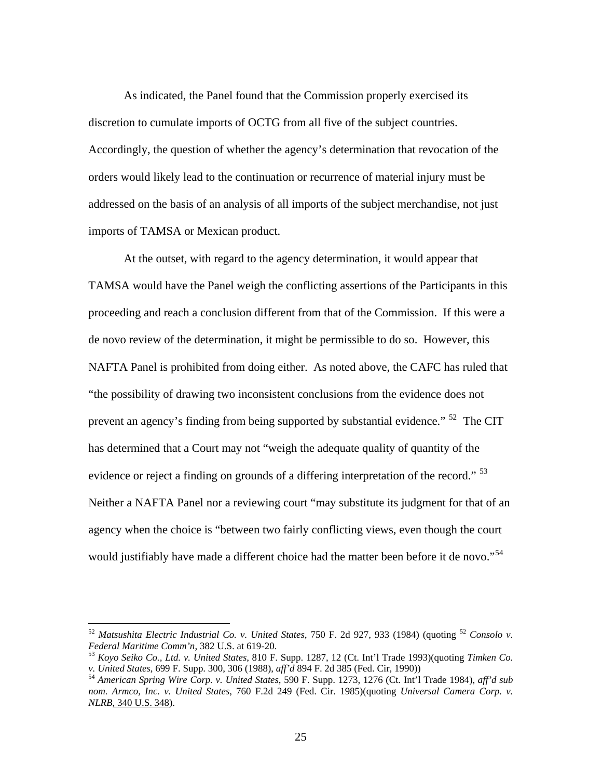As indicated, the Panel found that the Commission properly exercised its discretion to cumulate imports of OCTG from all five of the subject countries. Accordingly, the question of whether the agency's determination that revocation of the orders would likely lead to the continuation or recurrence of material injury must be addressed on the basis of an analysis of all imports of the subject merchandise, not just imports of TAMSA or Mexican product.

At the outset, with regard to the agency determination, it would appear that TAMSA would have the Panel weigh the conflicting assertions of the Participants in this proceeding and reach a conclusion different from that of the Commission. If this were a de novo review of the determination, it might be permissible to do so. However, this NAFTA Panel is prohibited from doing either. As noted above, the CAFC has ruled that "the possibility of drawing two inconsistent conclusions from the evidence does not prevent an agency's finding from being supported by substantial evidence." <sup>[52](#page-24-0)</sup> The CIT has determined that a Court may not "weigh the adequate quality of quantity of the evidence or reject a finding on grounds of a differing interpretation of the record." <sup>[53](#page-24-1)</sup> Neither a NAFTA Panel nor a reviewing court "may substitute its judgment for that of an agency when the choice is "between two fairly conflicting views, even though the court would justifiably have made a different choice had the matter been before it de novo."<sup>[54](#page-24-2)</sup>

<span id="page-24-0"></span><sup>52</sup> *Matsushita Electric Industrial Co. v. United States*, 750 F. 2d 927, 933 (1984) (quoting <sup>52</sup> *Consolo v.* 

<span id="page-24-1"></span>*Federal Maritime Comm'n, 382 U.S. at 619-20.*<br><sup>53</sup> *Koyo Seiko Co., Ltd. v. United States, 810 F. Supp. 1287, 12 (Ct. Int'l Trade 1993)(quoting <i>Timken Co. v. United States, 699 F. Supp. 300, 306 (1988), aff'd 894 F. 2d* 

<span id="page-24-2"></span><sup>&</sup>lt;sup>54</sup> American Spring Wire Corp. v. United States, 590 F. Supp. 1273, 1276 (Ct. Int'l Trade 1984), *aff'd sub nom. Armco, Inc. v. United States*, 760 F.2d 249 (Fed. Cir. 1985)(quoting *Universal Camera Corp. v. NLRB*, 340 U.S. 348).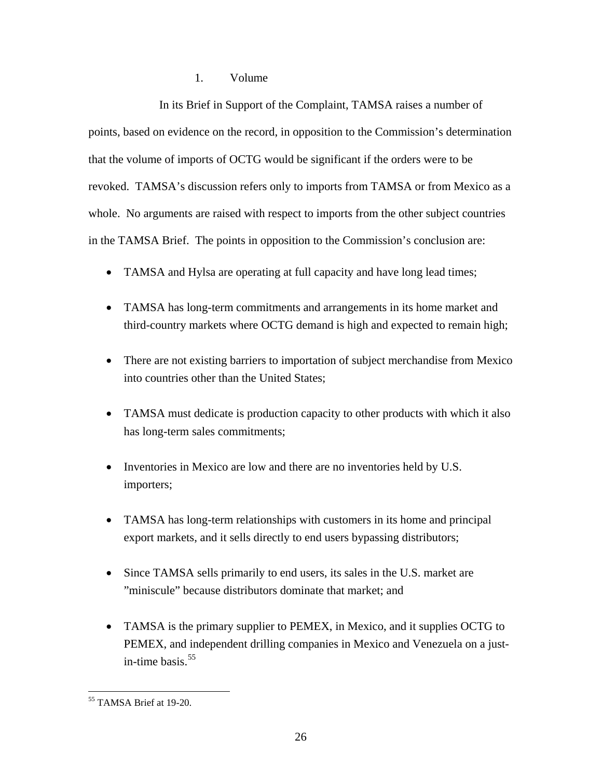# 1. Volume

 In its Brief in Support of the Complaint, TAMSA raises a number of points, based on evidence on the record, in opposition to the Commission's determination that the volume of imports of OCTG would be significant if the orders were to be revoked. TAMSA's discussion refers only to imports from TAMSA or from Mexico as a whole. No arguments are raised with respect to imports from the other subject countries in the TAMSA Brief. The points in opposition to the Commission's conclusion are:

- TAMSA and Hylsa are operating at full capacity and have long lead times;
- TAMSA has long-term commitments and arrangements in its home market and third-country markets where OCTG demand is high and expected to remain high;
- There are not existing barriers to importation of subject merchandise from Mexico into countries other than the United States;
- TAMSA must dedicate is production capacity to other products with which it also has long-term sales commitments;
- Inventories in Mexico are low and there are no inventories held by U.S. importers;
- TAMSA has long-term relationships with customers in its home and principal export markets, and it sells directly to end users bypassing distributors;
- Since TAMSA sells primarily to end users, its sales in the U.S. market are "miniscule" because distributors dominate that market; and
- TAMSA is the primary supplier to PEMEX, in Mexico, and it supplies OCTG to PEMEX, and independent drilling companies in Mexico and Venezuela on a justin-time basis. $55$

<span id="page-25-0"></span> $\overline{a}$ 55 TAMSA Brief at 19-20.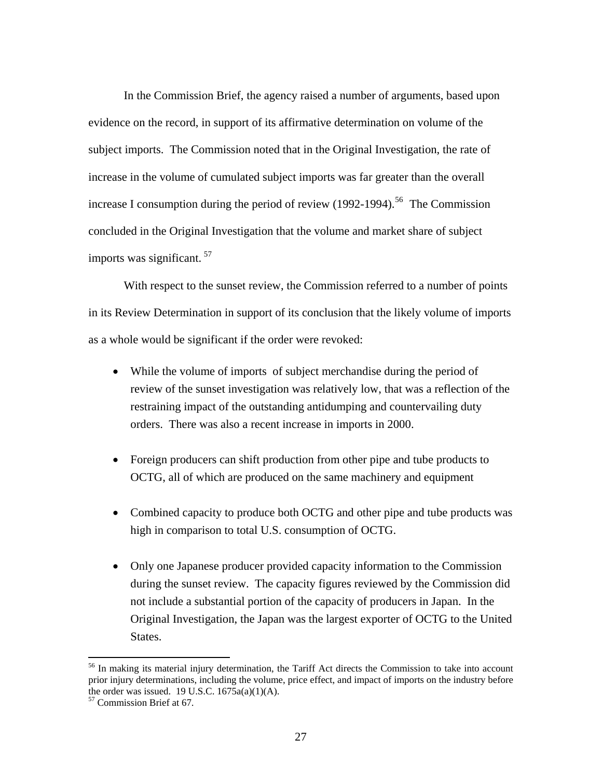In the Commission Brief, the agency raised a number of arguments, based upon evidence on the record, in support of its affirmative determination on volume of the subject imports. The Commission noted that in the Original Investigation, the rate of increase in the volume of cumulated subject imports was far greater than the overall increase I consumption during the period of review  $(1992-1994)$ .<sup>[56](#page-26-0)</sup> The Commission concluded in the Original Investigation that the volume and market share of subject imports was significant. [57](#page-26-1)

 With respect to the sunset review, the Commission referred to a number of points in its Review Determination in support of its conclusion that the likely volume of imports as a whole would be significant if the order were revoked:

- While the volume of imports of subject merchandise during the period of review of the sunset investigation was relatively low, that was a reflection of the restraining impact of the outstanding antidumping and countervailing duty orders. There was also a recent increase in imports in 2000.
- Foreign producers can shift production from other pipe and tube products to OCTG, all of which are produced on the same machinery and equipment
- Combined capacity to produce both OCTG and other pipe and tube products was high in comparison to total U.S. consumption of OCTG.
- Only one Japanese producer provided capacity information to the Commission during the sunset review. The capacity figures reviewed by the Commission did not include a substantial portion of the capacity of producers in Japan. In the Original Investigation, the Japan was the largest exporter of OCTG to the United States.

<span id="page-26-0"></span><sup>&</sup>lt;sup>56</sup> In making its material injury determination, the Tariff Act directs the Commission to take into account prior injury determinations, including the volume, price effect, and impact of imports on the industry before the order was issued.  $19$  U.S.C.  $1675a(a)(1)(A)$ .

<span id="page-26-1"></span><sup>57</sup> Commission Brief at 67.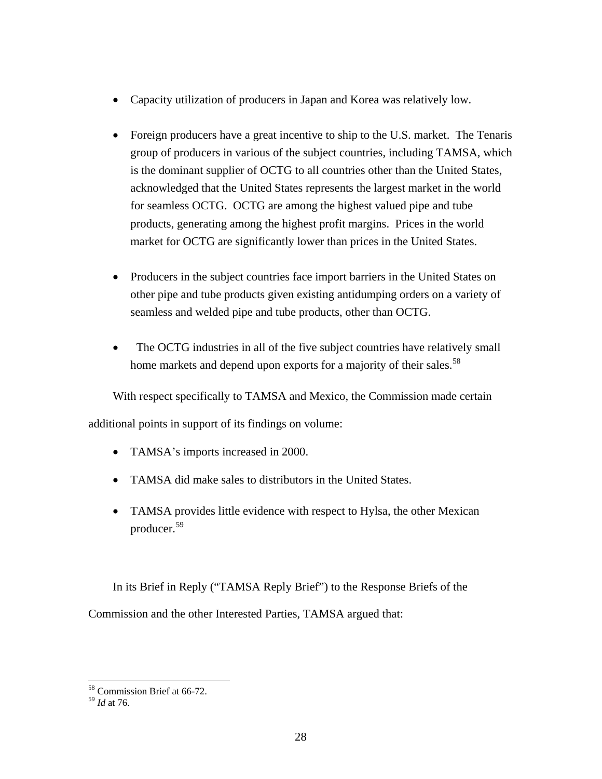- Capacity utilization of producers in Japan and Korea was relatively low.
- Foreign producers have a great incentive to ship to the U.S. market. The Tenaris group of producers in various of the subject countries, including TAMSA, which is the dominant supplier of OCTG to all countries other than the United States, acknowledged that the United States represents the largest market in the world for seamless OCTG. OCTG are among the highest valued pipe and tube products, generating among the highest profit margins. Prices in the world market for OCTG are significantly lower than prices in the United States.
- Producers in the subject countries face import barriers in the United States on other pipe and tube products given existing antidumping orders on a variety of seamless and welded pipe and tube products, other than OCTG.
- The OCTG industries in all of the five subject countries have relatively small home markets and depend upon exports for a majority of their sales.<sup>[58](#page-27-0)</sup>

With respect specifically to TAMSA and Mexico, the Commission made certain additional points in support of its findings on volume:

- TAMSA's imports increased in 2000.
- TAMSA did make sales to distributors in the United States.
- TAMSA provides little evidence with respect to Hylsa, the other Mexican producer.[59](#page-27-1)

In its Brief in Reply ("TAMSA Reply Brief") to the Response Briefs of the Commission and the other Interested Parties, TAMSA argued that:

 $\overline{a}$ 58 Commission Brief at 66-72.

<span id="page-27-1"></span><span id="page-27-0"></span><sup>59</sup> *Id* at 76.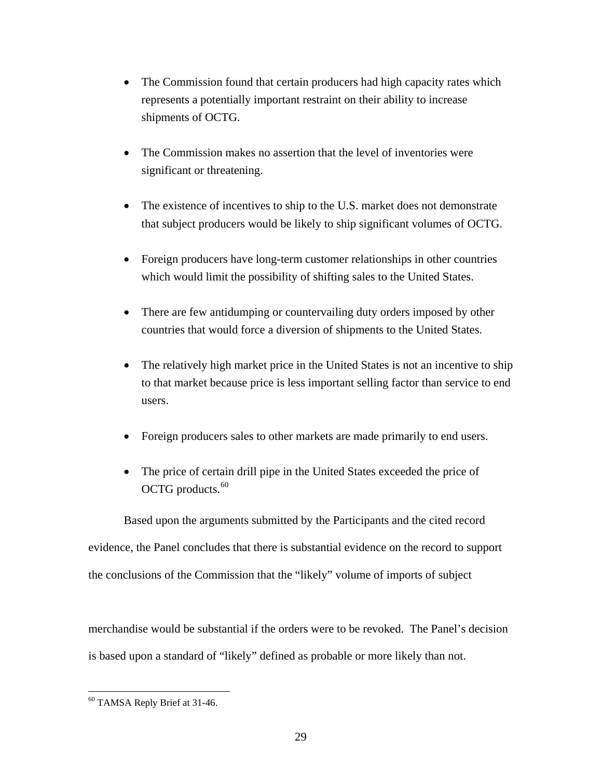- The Commission found that certain producers had high capacity rates which represents a potentially important restraint on their ability to increase shipments of OCTG.
- The Commission makes no assertion that the level of inventories were significant or threatening.
- The existence of incentives to ship to the U.S. market does not demonstrate that subject producers would be likely to ship significant volumes of OCTG.
- Foreign producers have long-term customer relationships in other countries which would limit the possibility of shifting sales to the United States.
- There are few antidumping or countervailing duty orders imposed by other countries that would force a diversion of shipments to the United States.
- The relatively high market price in the United States is not an incentive to ship to that market because price is less important selling factor than service to end users.
- Foreign producers sales to other markets are made primarily to end users.
- The price of certain drill pipe in the United States exceeded the price of OCTG products.<sup>[60](#page-28-0)</sup>

Based upon the arguments submitted by the Participants and the cited record evidence, the Panel concludes that there is substantial evidence on the record to support the conclusions of the Commission that the "likely" volume of imports of subject

merchandise would be substantial if the orders were to be revoked. The Panel's decision is based upon a standard of "likely" defined as probable or more likely than not.

<span id="page-28-0"></span> $\overline{a}$ <sup>60</sup> TAMSA Reply Brief at 31-46.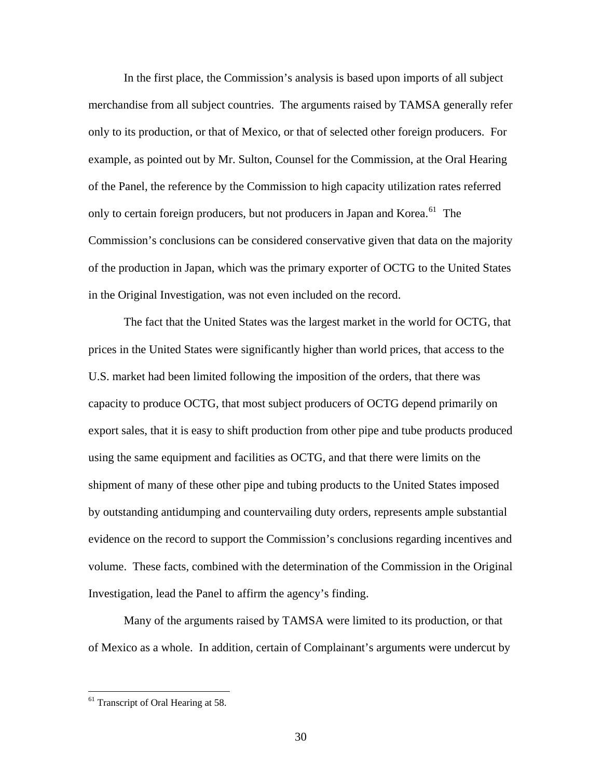In the first place, the Commission's analysis is based upon imports of all subject merchandise from all subject countries. The arguments raised by TAMSA generally refer only to its production, or that of Mexico, or that of selected other foreign producers. For example, as pointed out by Mr. Sulton, Counsel for the Commission, at the Oral Hearing of the Panel, the reference by the Commission to high capacity utilization rates referred only to certain foreign producers, but not producers in Japan and Korea.<sup>[61](#page-29-0)</sup> The Commission's conclusions can be considered conservative given that data on the majority of the production in Japan, which was the primary exporter of OCTG to the United States in the Original Investigation, was not even included on the record.

The fact that the United States was the largest market in the world for OCTG, that prices in the United States were significantly higher than world prices, that access to the U.S. market had been limited following the imposition of the orders, that there was capacity to produce OCTG, that most subject producers of OCTG depend primarily on export sales, that it is easy to shift production from other pipe and tube products produced using the same equipment and facilities as OCTG, and that there were limits on the shipment of many of these other pipe and tubing products to the United States imposed by outstanding antidumping and countervailing duty orders, represents ample substantial evidence on the record to support the Commission's conclusions regarding incentives and volume. These facts, combined with the determination of the Commission in the Original Investigation, lead the Panel to affirm the agency's finding.

Many of the arguments raised by TAMSA were limited to its production, or that of Mexico as a whole. In addition, certain of Complainant's arguments were undercut by

<span id="page-29-0"></span> $<sup>61</sup>$  Transcript of Oral Hearing at 58.</sup>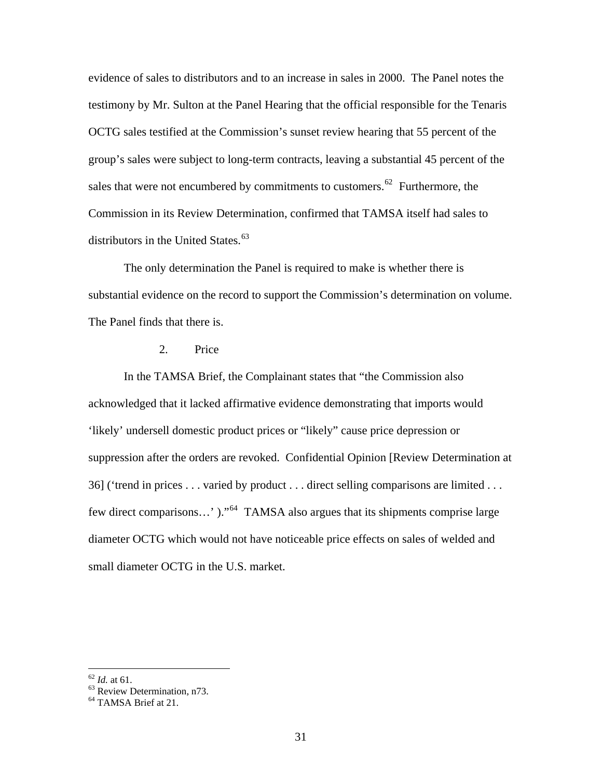evidence of sales to distributors and to an increase in sales in 2000. The Panel notes the testimony by Mr. Sulton at the Panel Hearing that the official responsible for the Tenaris OCTG sales testified at the Commission's sunset review hearing that 55 percent of the group's sales were subject to long-term contracts, leaving a substantial 45 percent of the sales that were not encumbered by commitments to customers.<sup>[62](#page-30-0)</sup> Furthermore, the Commission in its Review Determination, confirmed that TAMSA itself had sales to distributors in the United States. $63$ 

 The only determination the Panel is required to make is whether there is substantial evidence on the record to support the Commission's determination on volume. The Panel finds that there is.

#### 2. Price

In the TAMSA Brief, the Complainant states that "the Commission also acknowledged that it lacked affirmative evidence demonstrating that imports would 'likely' undersell domestic product prices or "likely" cause price depression or suppression after the orders are revoked. Confidential Opinion [Review Determination at 36] ('trend in prices . . . varied by product . . . direct selling comparisons are limited . . . few direct comparisons…' )."[64](#page-30-2) TAMSA also argues that its shipments comprise large diameter OCTG which would not have noticeable price effects on sales of welded and small diameter OCTG in the U.S. market.

<span id="page-30-0"></span> $62$  *Id.* at 61.

<sup>&</sup>lt;sup>63</sup> Review Determination, n73.

<span id="page-30-2"></span><span id="page-30-1"></span><sup>&</sup>lt;sup>64</sup> TAMSA Brief at 21.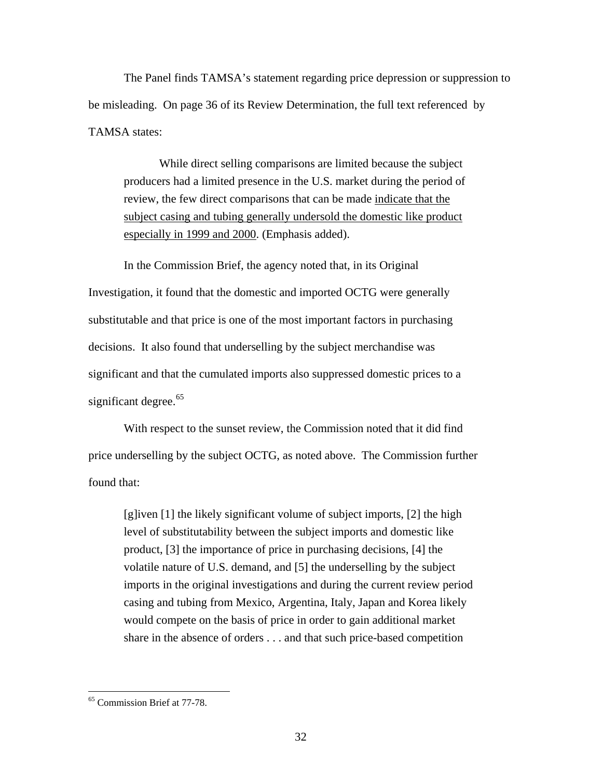The Panel finds TAMSA's statement regarding price depression or suppression to be misleading. On page 36 of its Review Determination, the full text referenced by TAMSA states:

While direct selling comparisons are limited because the subject producers had a limited presence in the U.S. market during the period of review, the few direct comparisons that can be made indicate that the subject casing and tubing generally undersold the domestic like product especially in 1999 and 2000. (Emphasis added).

 In the Commission Brief, the agency noted that, in its Original Investigation, it found that the domestic and imported OCTG were generally substitutable and that price is one of the most important factors in purchasing decisions. It also found that underselling by the subject merchandise was significant and that the cumulated imports also suppressed domestic prices to a significant degree. $65$ 

 With respect to the sunset review, the Commission noted that it did find price underselling by the subject OCTG, as noted above. The Commission further found that:

[g]iven [1] the likely significant volume of subject imports, [2] the high level of substitutability between the subject imports and domestic like product, [3] the importance of price in purchasing decisions, [4] the volatile nature of U.S. demand, and [5] the underselling by the subject imports in the original investigations and during the current review period casing and tubing from Mexico, Argentina, Italy, Japan and Korea likely would compete on the basis of price in order to gain additional market share in the absence of orders . . . and that such price-based competition

<span id="page-31-0"></span><sup>65</sup> Commission Brief at 77-78.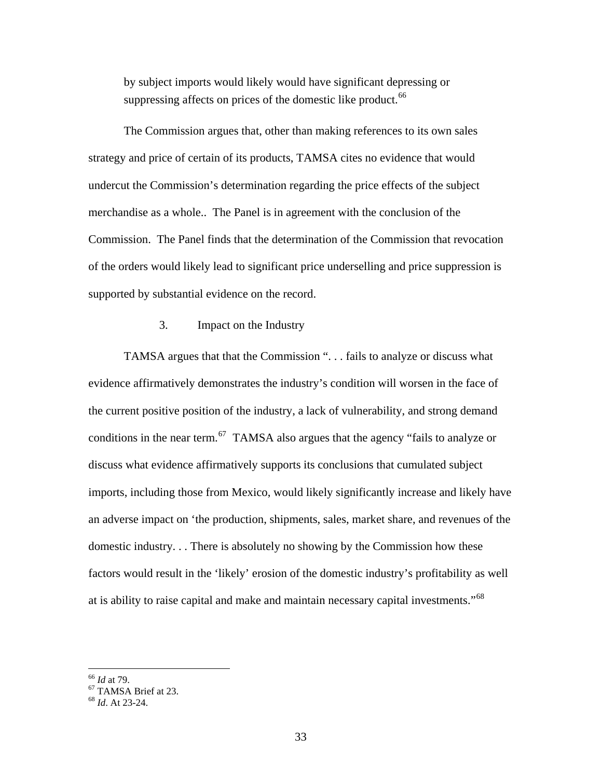by subject imports would likely would have significant depressing or suppressing affects on prices of the domestic like product.<sup>[66](#page-32-0)</sup>

 The Commission argues that, other than making references to its own sales strategy and price of certain of its products, TAMSA cites no evidence that would undercut the Commission's determination regarding the price effects of the subject merchandise as a whole.. The Panel is in agreement with the conclusion of the Commission. The Panel finds that the determination of the Commission that revocation of the orders would likely lead to significant price underselling and price suppression is supported by substantial evidence on the record.

#### 3. Impact on the Industry

TAMSA argues that that the Commission ". . . fails to analyze or discuss what evidence affirmatively demonstrates the industry's condition will worsen in the face of the current positive position of the industry, a lack of vulnerability, and strong demand conditions in the near term.<sup>[67](#page-32-1)</sup> TAMSA also argues that the agency "fails to analyze or discuss what evidence affirmatively supports its conclusions that cumulated subject imports, including those from Mexico, would likely significantly increase and likely have an adverse impact on 'the production, shipments, sales, market share, and revenues of the domestic industry. . . There is absolutely no showing by the Commission how these factors would result in the 'likely' erosion of the domestic industry's profitability as well at is ability to raise capital and make and maintain necessary capital investments."[68](#page-32-2)

<span id="page-32-0"></span> $66$  *Id* at 79.

<sup>&</sup>lt;sup>67</sup> TAMSA Brief at 23.

<span id="page-32-2"></span><span id="page-32-1"></span><sup>68</sup> *Id*. At 23-24.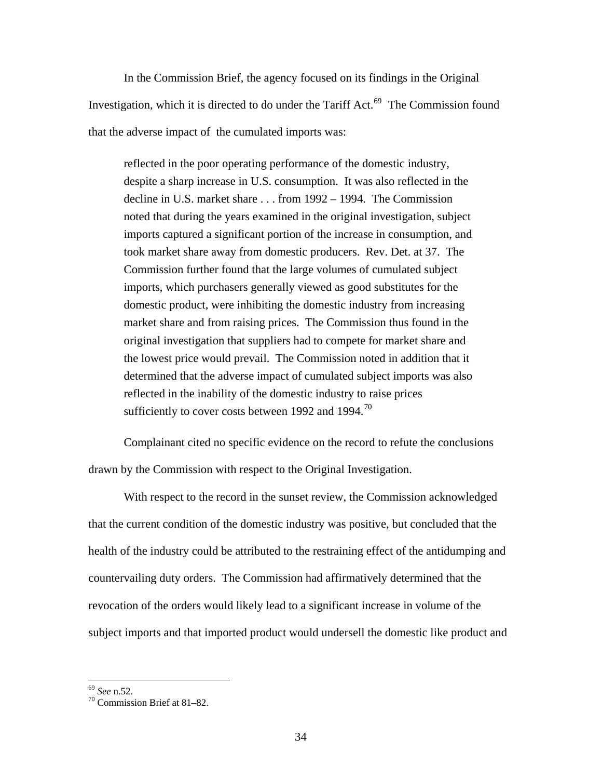In the Commission Brief, the agency focused on its findings in the Original Investigation, which it is directed to do under the Tariff Act. $^{69}$  $^{69}$  $^{69}$  The Commission found that the adverse impact of the cumulated imports was:

reflected in the poor operating performance of the domestic industry, despite a sharp increase in U.S. consumption. It was also reflected in the decline in U.S. market share . . . from 1992 – 1994. The Commission noted that during the years examined in the original investigation, subject imports captured a significant portion of the increase in consumption, and took market share away from domestic producers. Rev. Det. at 37. The Commission further found that the large volumes of cumulated subject imports, which purchasers generally viewed as good substitutes for the domestic product, were inhibiting the domestic industry from increasing market share and from raising prices. The Commission thus found in the original investigation that suppliers had to compete for market share and the lowest price would prevail. The Commission noted in addition that it determined that the adverse impact of cumulated subject imports was also reflected in the inability of the domestic industry to raise prices sufficiently to cover costs between 1992 and 1994.<sup>[70](#page-33-1)</sup>

Complainant cited no specific evidence on the record to refute the conclusions drawn by the Commission with respect to the Original Investigation.

 With respect to the record in the sunset review, the Commission acknowledged that the current condition of the domestic industry was positive, but concluded that the health of the industry could be attributed to the restraining effect of the antidumping and countervailing duty orders. The Commission had affirmatively determined that the revocation of the orders would likely lead to a significant increase in volume of the subject imports and that imported product would undersell the domestic like product and

 $69$  See n.52.

<span id="page-33-1"></span><span id="page-33-0"></span><sup>&</sup>lt;sup>70</sup> Commission Brief at 81–82.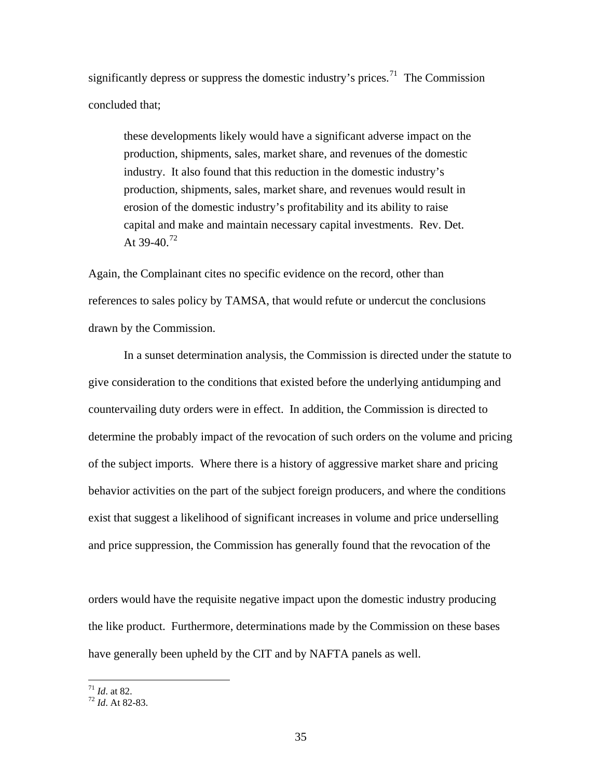significantly depress or suppress the domestic industry's prices.<sup>[71](#page-34-0)</sup> The Commission concluded that;

these developments likely would have a significant adverse impact on the production, shipments, sales, market share, and revenues of the domestic industry. It also found that this reduction in the domestic industry's production, shipments, sales, market share, and revenues would result in erosion of the domestic industry's profitability and its ability to raise capital and make and maintain necessary capital investments. Rev. Det. At 39-40.<sup>[72](#page-34-1)</sup>

Again, the Complainant cites no specific evidence on the record, other than references to sales policy by TAMSA, that would refute or undercut the conclusions drawn by the Commission.

 In a sunset determination analysis, the Commission is directed under the statute to give consideration to the conditions that existed before the underlying antidumping and countervailing duty orders were in effect. In addition, the Commission is directed to determine the probably impact of the revocation of such orders on the volume and pricing of the subject imports. Where there is a history of aggressive market share and pricing behavior activities on the part of the subject foreign producers, and where the conditions exist that suggest a likelihood of significant increases in volume and price underselling and price suppression, the Commission has generally found that the revocation of the

orders would have the requisite negative impact upon the domestic industry producing the like product. Furthermore, determinations made by the Commission on these bases have generally been upheld by the CIT and by NAFTA panels as well.

 $^{71}$  *Id.* at 82.

<span id="page-34-1"></span><span id="page-34-0"></span><sup>71</sup> *Id*. at 82. 72 *Id*. At 82-83.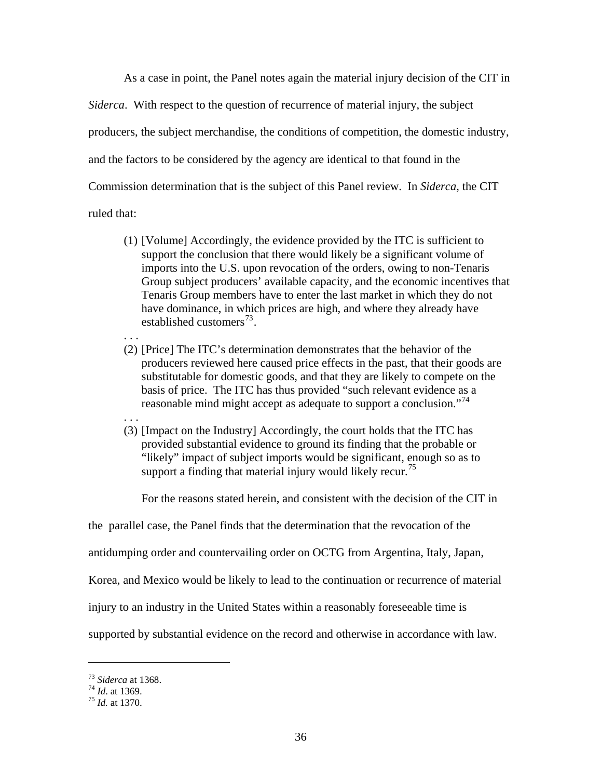As a case in point, the Panel notes again the material injury decision of the CIT in *Siderca*. With respect to the question of recurrence of material injury, the subject producers, the subject merchandise, the conditions of competition, the domestic industry, and the factors to be considered by the agency are identical to that found in the Commission determination that is the subject of this Panel review. In *Siderca*, the CIT ruled that:

- (1) [Volume] Accordingly, the evidence provided by the ITC is sufficient to support the conclusion that there would likely be a significant volume of imports into the U.S. upon revocation of the orders, owing to non-Tenaris Group subject producers' available capacity, and the economic incentives that Tenaris Group members have to enter the last market in which they do not have dominance, in which prices are high, and where they already have established customers $^{73}$  $^{73}$  $^{73}$ .
- . . . (2) [Price] The ITC's determination demonstrates that the behavior of the producers reviewed here caused price effects in the past, that their goods are substitutable for domestic goods, and that they are likely to compete on the basis of price. The ITC has thus provided "such relevant evidence as a reasonable mind might accept as adequate to support a conclusion."<sup>[74](#page-35-1)</sup>
- . . . (3) [Impact on the Industry] Accordingly, the court holds that the ITC has provided substantial evidence to ground its finding that the probable or "likely" impact of subject imports would be significant, enough so as to support a finding that material injury would likely recur.<sup>[75](#page-35-2)</sup>

For the reasons stated herein, and consistent with the decision of the CIT in

the parallel case, the Panel finds that the determination that the revocation of the

antidumping order and countervailing order on OCTG from Argentina, Italy, Japan,

Korea, and Mexico would be likely to lead to the continuation or recurrence of material

injury to an industry in the United States within a reasonably foreseeable time is

supported by substantial evidence on the record and otherwise in accordance with law.

<span id="page-35-1"></span><span id="page-35-0"></span><sup>73</sup> *Siderca* at 1368. 74 *Id*. at 1369. 75 *Id.* at 1370.

<span id="page-35-2"></span>